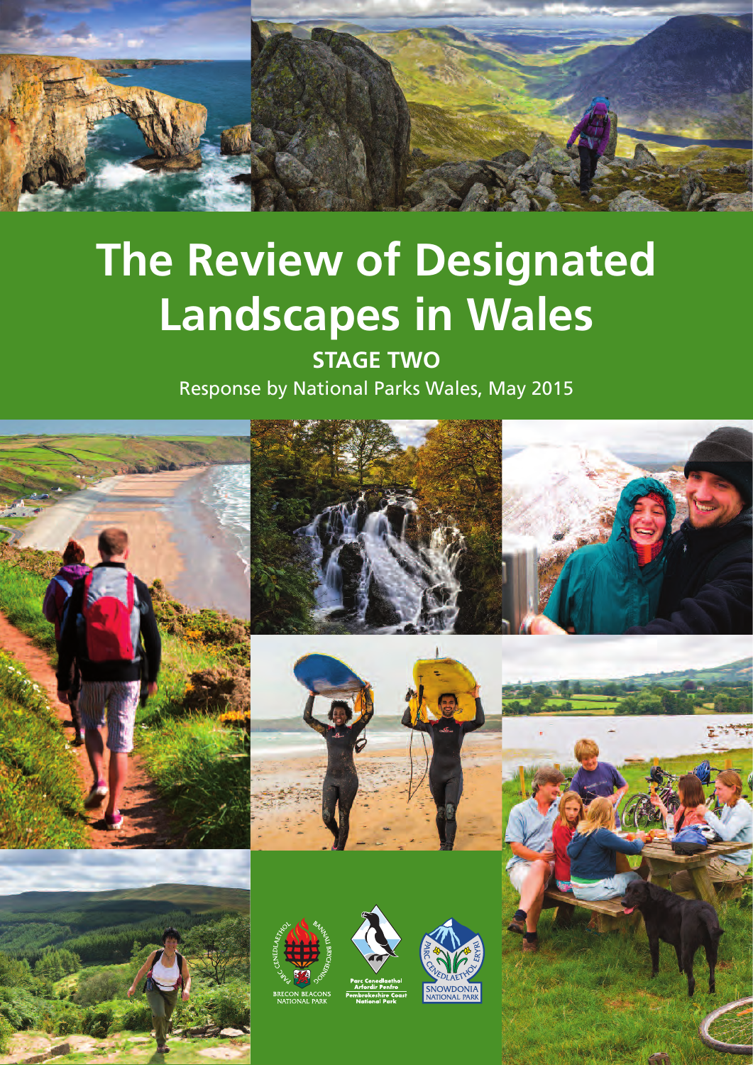

# **The Review of Designated Landscapes in Wales**

**STAGE TWO** Response by National Parks Wales, May 2015











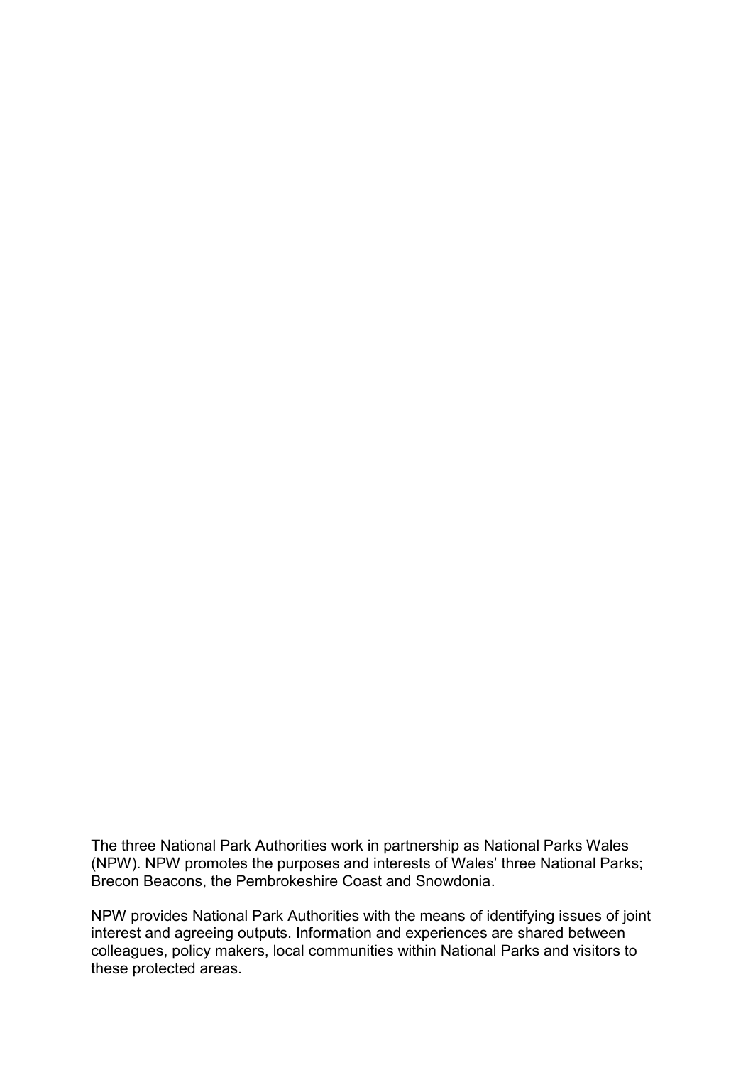The three National Park Authorities work in partnership as National Parks Wales (NPW). NPW promotes the purposes and interests of Wales' three National Parks; Brecon Beacons, the Pembrokeshire Coast and Snowdonia.

NPW provides National Park Authorities with the means of identifying issues of joint interest and agreeing outputs. Information and experiences are shared between colleagues, policy makers, local communities within National Parks and visitors to these protected areas.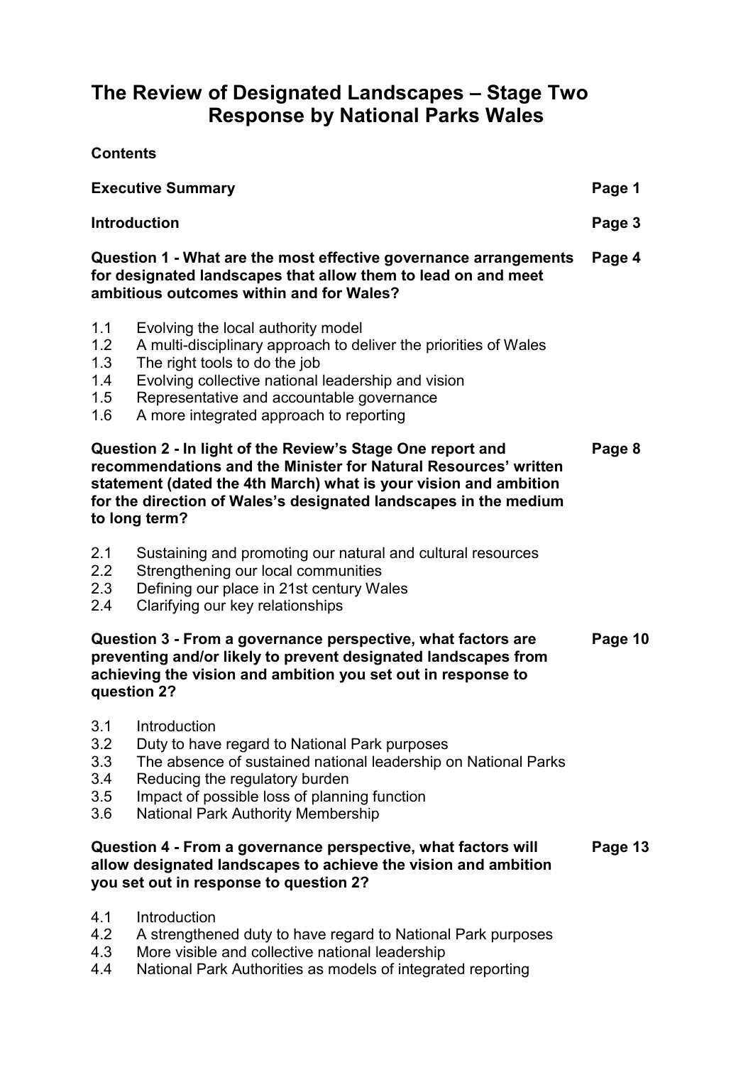# **The Review of Designated Landscapes – Stage Two Response by National Parks Wales**

**Contents** 

| <b>Executive Summary</b>                                                                                                                                                                                                                                                               |                                                                                                                                                                                                                                                                                       | Page 1  |
|----------------------------------------------------------------------------------------------------------------------------------------------------------------------------------------------------------------------------------------------------------------------------------------|---------------------------------------------------------------------------------------------------------------------------------------------------------------------------------------------------------------------------------------------------------------------------------------|---------|
| <b>Introduction</b>                                                                                                                                                                                                                                                                    |                                                                                                                                                                                                                                                                                       | Page 3  |
| Question 1 - What are the most effective governance arrangements<br>for designated landscapes that allow them to lead on and meet<br>ambitious outcomes within and for Wales?                                                                                                          |                                                                                                                                                                                                                                                                                       | Page 4  |
| 1.1<br>1.2<br>1.3<br>1.4<br>1.5<br>1.6                                                                                                                                                                                                                                                 | Evolving the local authority model<br>A multi-disciplinary approach to deliver the priorities of Wales<br>The right tools to do the job<br>Evolving collective national leadership and vision<br>Representative and accountable governance<br>A more integrated approach to reporting |         |
| Question 2 - In light of the Review's Stage One report and<br>recommendations and the Minister for Natural Resources' written<br>statement (dated the 4th March) what is your vision and ambition<br>for the direction of Wales's designated landscapes in the medium<br>to long term? |                                                                                                                                                                                                                                                                                       | Page 8  |
| 2.1<br>2.2<br>2.3<br>2.4                                                                                                                                                                                                                                                               | Sustaining and promoting our natural and cultural resources<br>Strengthening our local communities<br>Defining our place in 21st century Wales<br>Clarifying our key relationships                                                                                                    |         |
| Question 3 - From a governance perspective, what factors are<br>preventing and/or likely to prevent designated landscapes from<br>achieving the vision and ambition you set out in response to<br>question 2?                                                                          |                                                                                                                                                                                                                                                                                       | Page 10 |
| 3.1<br>3.2<br>3.3<br>3.4<br>3.5<br>$3.6\,$                                                                                                                                                                                                                                             | Introduction<br>Duty to have regard to National Park purposes<br>The absence of sustained national leadership on National Parks<br>Reducing the regulatory burden<br>Impact of possible loss of planning function<br><b>National Park Authority Membership</b>                        |         |
|                                                                                                                                                                                                                                                                                        | Question 4 - From a governance perspective, what factors will<br>allow designated landscapes to achieve the vision and ambition<br>you set out in response to question 2?                                                                                                             | Page 13 |
| 4.1<br>4.2<br>4.3<br>4.4                                                                                                                                                                                                                                                               | Introduction<br>A strengthened duty to have regard to National Park purposes<br>More visible and collective national leadership<br>National Park Authorities as models of integrated reporting                                                                                        |         |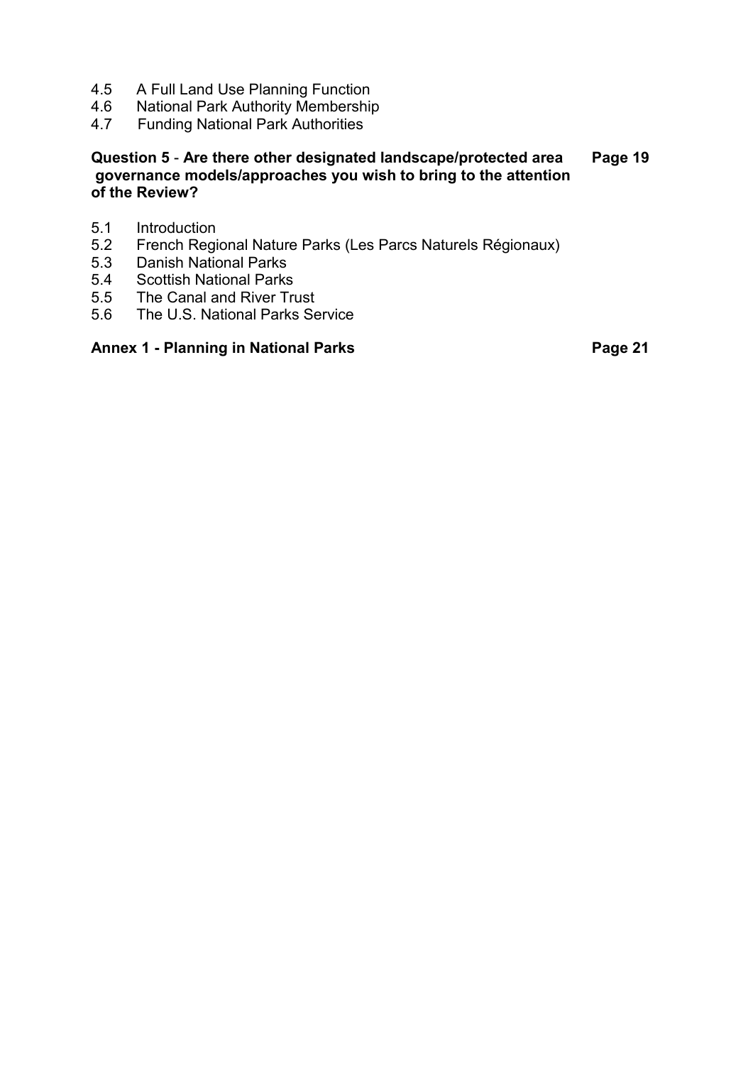- 4.5 A Full Land Use Planning Function
- 4.6 National Park Authority Membership<br>4.7 Funding National Park Authorities
- Funding National Park Authorities

# **Question 5** - **Are there other designated landscape/protected area Page 19 governance models/approaches you wish to bring to the attention of the Review?**

- 5.1 Introduction<br>5.2 French Regi
- 5.2 French Regional Nature Parks (Les Parcs Naturels Régionaux)<br>5.3 Danish National Parks
- 5.3 Danish National Parks
- 5.4 Scottish National Parks
- 5.5 The Canal and River Trust<br>5.6 The U.S. National Parks Se
- The U.S. National Parks Service

# Annex 1 - Planning in National Parks **Page 21 Page 21**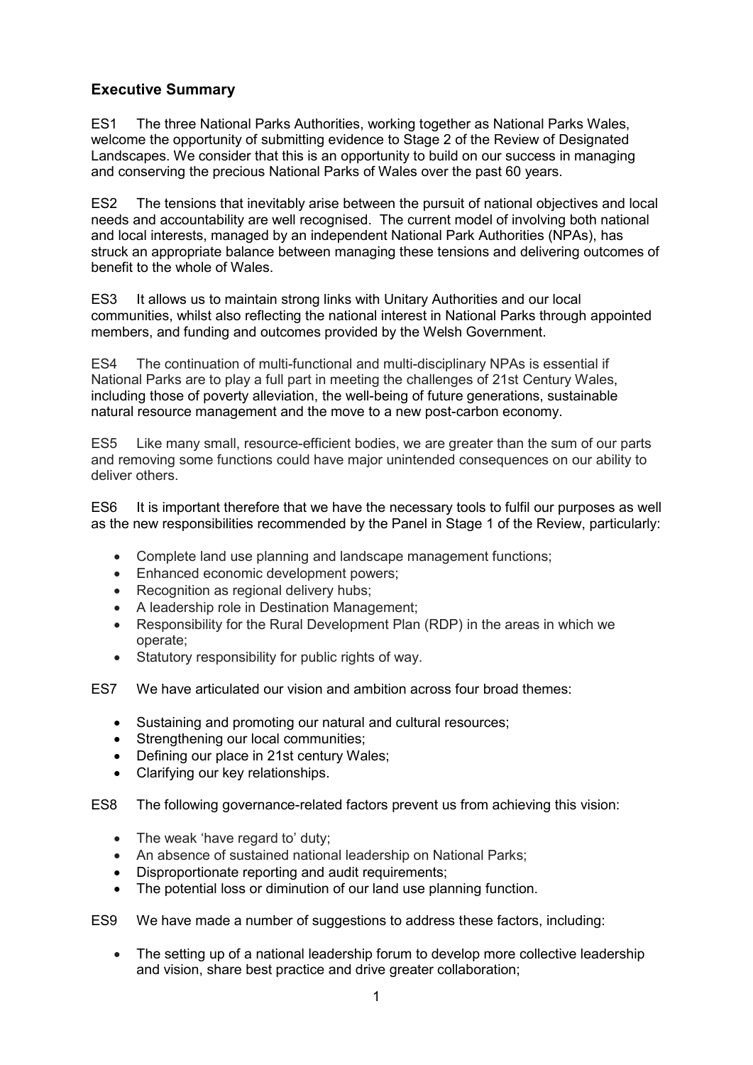# **Executive Summary**

ES1 The three National Parks Authorities, working together as National Parks Wales, welcome the opportunity of submitting evidence to Stage 2 of the Review of Designated Landscapes. We consider that this is an opportunity to build on our success in managing and conserving the precious National Parks of Wales over the past 60 years.

ES2 The tensions that inevitably arise between the pursuit of national objectives and local needs and accountability are well recognised. The current model of involving both national and local interests, managed by an independent National Park Authorities (NPAs), has struck an appropriate balance between managing these tensions and delivering outcomes of benefit to the whole of Wales.

ES3 It allows us to maintain strong links with Unitary Authorities and our local communities, whilst also reflecting the national interest in National Parks through appointed members, and funding and outcomes provided by the Welsh Government.

ES4 The continuation of multi-functional and multi-disciplinary NPAs is essential if National Parks are to play a full part in meeting the challenges of 21st Century Wales, including those of poverty alleviation, the well-being of future generations, sustainable natural resource management and the move to a new post-carbon economy.

ES5 Like many small, resource-efficient bodies, we are greater than the sum of our parts and removing some functions could have major unintended consequences on our ability to deliver others.

ES6 It is important therefore that we have the necessary tools to fulfil our purposes as well as the new responsibilities recommended by the Panel in Stage 1 of the Review, particularly:

- Complete land use planning and landscape management functions;
- Enhanced economic development powers;
- Recognition as regional delivery hubs;
- A leadership role in Destination Management;
- Responsibility for the Rural Development Plan (RDP) in the areas in which we operate;
- Statutory responsibility for public rights of way.
- ES7 We have articulated our vision and ambition across four broad themes:
	- Sustaining and promoting our natural and cultural resources;
	- Strengthening our local communities:
	- Defining our place in 21st century Wales:
	- Clarifying our key relationships.

ES8 The following governance-related factors prevent us from achieving this vision:

- The weak 'have regard to' duty;
- An absence of sustained national leadership on National Parks;
- Disproportionate reporting and audit requirements;
- The potential loss or diminution of our land use planning function.

ES9 We have made a number of suggestions to address these factors, including:

 The setting up of a national leadership forum to develop more collective leadership and vision, share best practice and drive greater collaboration;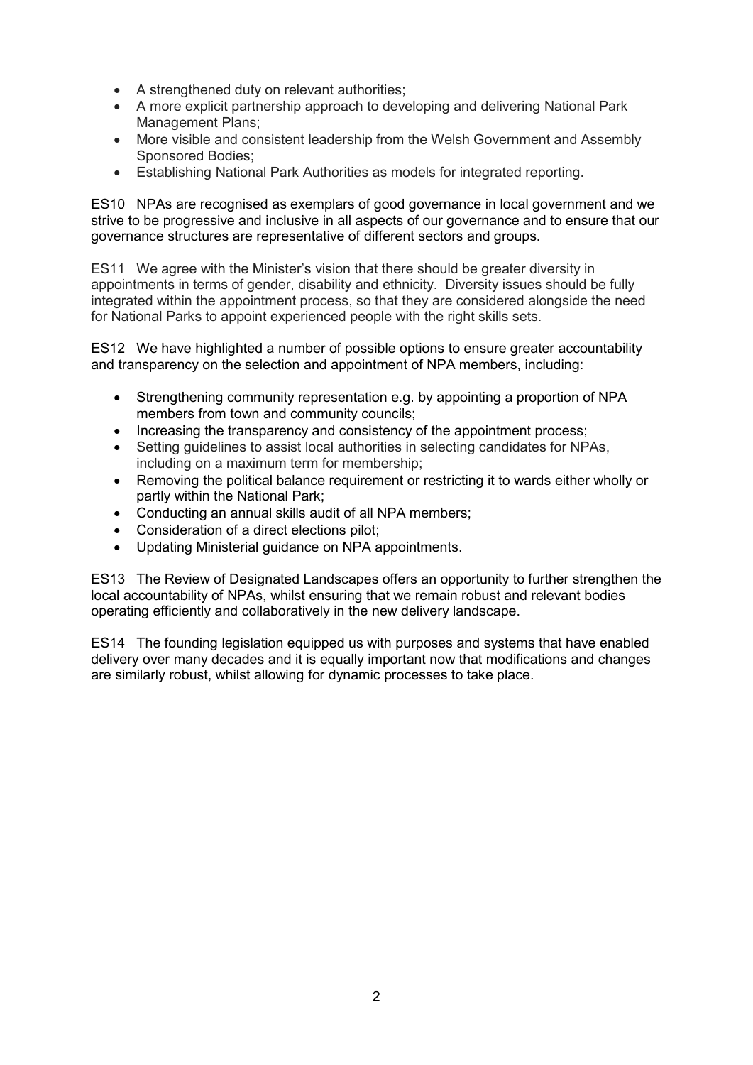- A strengthened duty on relevant authorities;
- A more explicit partnership approach to developing and delivering National Park Management Plans;
- More visible and consistent leadership from the Welsh Government and Assembly Sponsored Bodies;
- Establishing National Park Authorities as models for integrated reporting.

ES10 NPAs are recognised as exemplars of good governance in local government and we strive to be progressive and inclusive in all aspects of our governance and to ensure that our governance structures are representative of different sectors and groups.

ES11 We agree with the Minister's vision that there should be greater diversity in appointments in terms of gender, disability and ethnicity. Diversity issues should be fully integrated within the appointment process, so that they are considered alongside the need for National Parks to appoint experienced people with the right skills sets.

ES12 We have highlighted a number of possible options to ensure greater accountability and transparency on the selection and appointment of NPA members, including:

- Strengthening community representation e.g. by appointing a proportion of NPA members from town and community councils;
- Increasing the transparency and consistency of the appointment process;
- Setting guidelines to assist local authorities in selecting candidates for NPAs, including on a maximum term for membership;
- Removing the political balance requirement or restricting it to wards either wholly or partly within the National Park;
- Conducting an annual skills audit of all NPA members;
- Consideration of a direct elections pilot;
- Updating Ministerial guidance on NPA appointments.

ES13 The Review of Designated Landscapes offers an opportunity to further strengthen the local accountability of NPAs, whilst ensuring that we remain robust and relevant bodies operating efficiently and collaboratively in the new delivery landscape.

ES14 The founding legislation equipped us with purposes and systems that have enabled delivery over many decades and it is equally important now that modifications and changes are similarly robust, whilst allowing for dynamic processes to take place.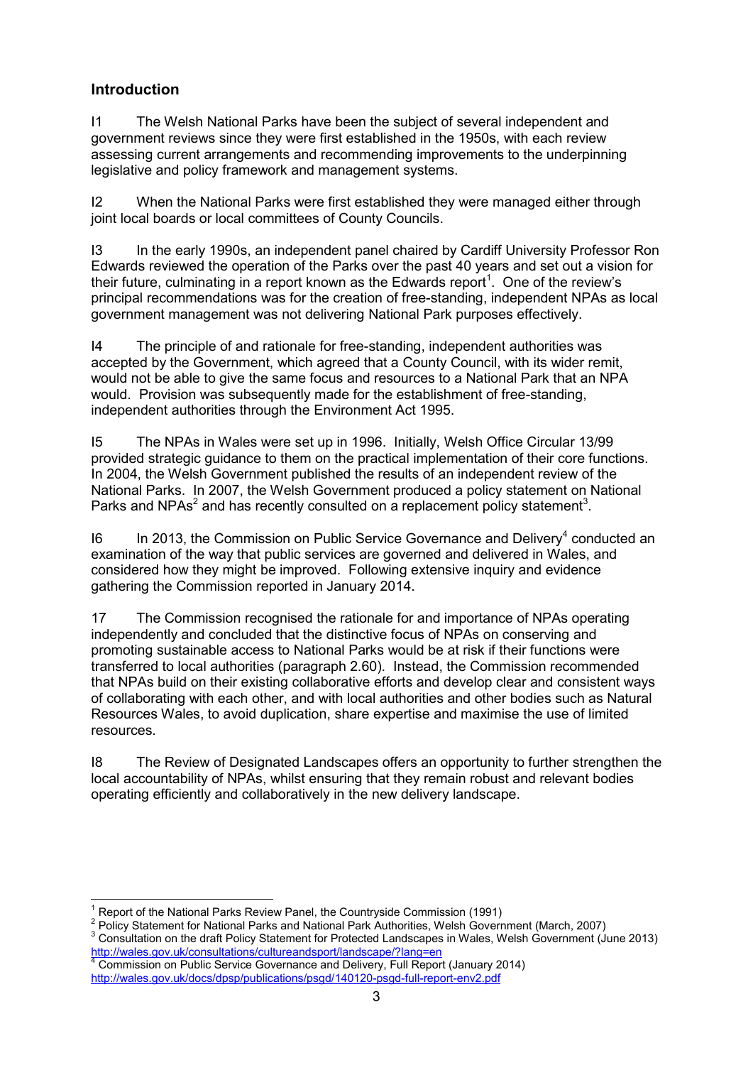# **Introduction**

I1 The Welsh National Parks have been the subject of several independent and government reviews since they were first established in the 1950s, with each review assessing current arrangements and recommending improvements to the underpinning legislative and policy framework and management systems.

I2 When the National Parks were first established they were managed either through joint local boards or local committees of County Councils.

I3 In the early 1990s, an independent panel chaired by Cardiff University Professor Ron Edwards reviewed the operation of the Parks over the past 40 years and set out a vision for their future, culminating in a report known as the Edwards report<sup>1</sup>. One of the review's principal recommendations was for the creation of free-standing, independent NPAs as local government management was not delivering National Park purposes effectively.

I4 The principle of and rationale for free-standing, independent authorities was accepted by the Government, which agreed that a County Council, with its wider remit, would not be able to give the same focus and resources to a National Park that an NPA would. Provision was subsequently made for the establishment of free-standing, independent authorities through the Environment Act 1995.

I5 The NPAs in Wales were set up in 1996. Initially, Welsh Office Circular 13/99 provided strategic guidance to them on the practical implementation of their core functions. In 2004, the Welsh Government published the results of an independent review of the National Parks. In 2007, the Welsh Government produced a policy statement on National Parks and NPAs<sup>2</sup> and has recently consulted on a replacement policy statement<sup>3</sup>.

I6 In 2013, the Commission on Public Service Governance and Delivery<sup>4</sup> conducted an examination of the way that public services are governed and delivered in Wales, and considered how they might be improved. Following extensive inquiry and evidence gathering the Commission reported in January 2014.

17 The Commission recognised the rationale for and importance of NPAs operating independently and concluded that the distinctive focus of NPAs on conserving and promoting sustainable access to National Parks would be at risk if their functions were transferred to local authorities (paragraph 2.60). Instead, the Commission recommended that NPAs build on their existing collaborative efforts and develop clear and consistent ways of collaborating with each other, and with local authorities and other bodies such as Natural Resources Wales, to avoid duplication, share expertise and maximise the use of limited resources.

I8 The Review of Designated Landscapes offers an opportunity to further strengthen the local accountability of NPAs, whilst ensuring that they remain robust and relevant bodies operating efficiently and collaboratively in the new delivery landscape.

 $\overline{1}$ 1 Report of the National Parks Review Panel, the Countryside Commission (1991)

<sup>&</sup>lt;sup>2</sup> Policy Statement for National Parks and National Park Authorities, Welsh Government (March, 2007)

 $3$  Consultation on the draft Policy Statement for Protected Landscapes in Wales, Welsh Government (June 2013) <u><http://wales.gov.uk/consultations/cultureandsport/landscape/?lang=en></u><br><sup>4</sup> Commission on Public Service Governance and Delivery, Full Report (January 2014)

<http://wales.gov.uk/docs/dpsp/publications/psgd/140120-psgd-full-report-env2.pdf>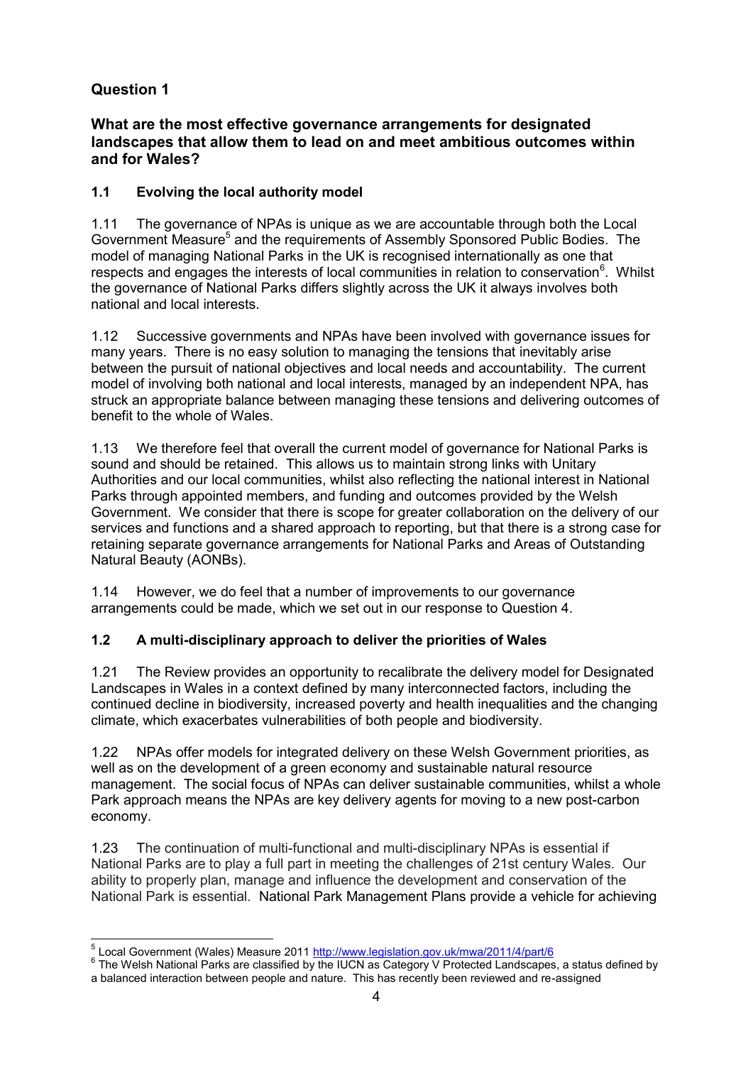## **What are the most effective governance arrangements for designated landscapes that allow them to lead on and meet ambitious outcomes within and for Wales?**

# **1.1 Evolving the local authority model**

1.11 The governance of NPAs is unique as we are accountable through both the Local Government Measure<sup>5</sup> and the requirements of Assembly Sponsored Public Bodies. The model of managing National Parks in the UK is recognised internationally as one that respects and engages the interests of local communities in relation to conservation<sup>6</sup>. Whilst the governance of National Parks differs slightly across the UK it always involves both national and local interests.

1.12 Successive governments and NPAs have been involved with governance issues for many years. There is no easy solution to managing the tensions that inevitably arise between the pursuit of national objectives and local needs and accountability. The current model of involving both national and local interests, managed by an independent NPA, has struck an appropriate balance between managing these tensions and delivering outcomes of benefit to the whole of Wales.

1.13 We therefore feel that overall the current model of governance for National Parks is sound and should be retained. This allows us to maintain strong links with Unitary Authorities and our local communities, whilst also reflecting the national interest in National Parks through appointed members, and funding and outcomes provided by the Welsh Government. We consider that there is scope for greater collaboration on the delivery of our services and functions and a shared approach to reporting, but that there is a strong case for retaining separate governance arrangements for National Parks and Areas of Outstanding Natural Beauty (AONBs).

1.14 However, we do feel that a number of improvements to our governance arrangements could be made, which we set out in our response to Question 4.

#### **1.2 A multi-disciplinary approach to deliver the priorities of Wales**

1.21 The Review provides an opportunity to recalibrate the delivery model for Designated Landscapes in Wales in a context defined by many interconnected factors, including the continued decline in biodiversity, increased poverty and health inequalities and the changing climate, which exacerbates vulnerabilities of both people and biodiversity.

1.22 NPAs offer models for integrated delivery on these Welsh Government priorities, as well as on the development of a green economy and sustainable natural resource management. The social focus of NPAs can deliver sustainable communities, whilst a whole Park approach means the NPAs are key delivery agents for moving to a new post-carbon economy.

1.23 The continuation of multi-functional and multi-disciplinary NPAs is essential if National Parks are to play a full part in meeting the challenges of 21st century Wales. Our ability to properly plan, manage and influence the development and conservation of the National Park is essential. National Park Management Plans provide a vehicle for achieving

 5 Local Government (Wales) Measure 2011<http://www.legislation.gov.uk/mwa/2011/4/part/6>

 $^6$  The Welsh National Parks are classified by the IUCN as Category V Protected Landscapes, a status defined by a balanced interaction between people and nature. This has recently been reviewed and re-assigned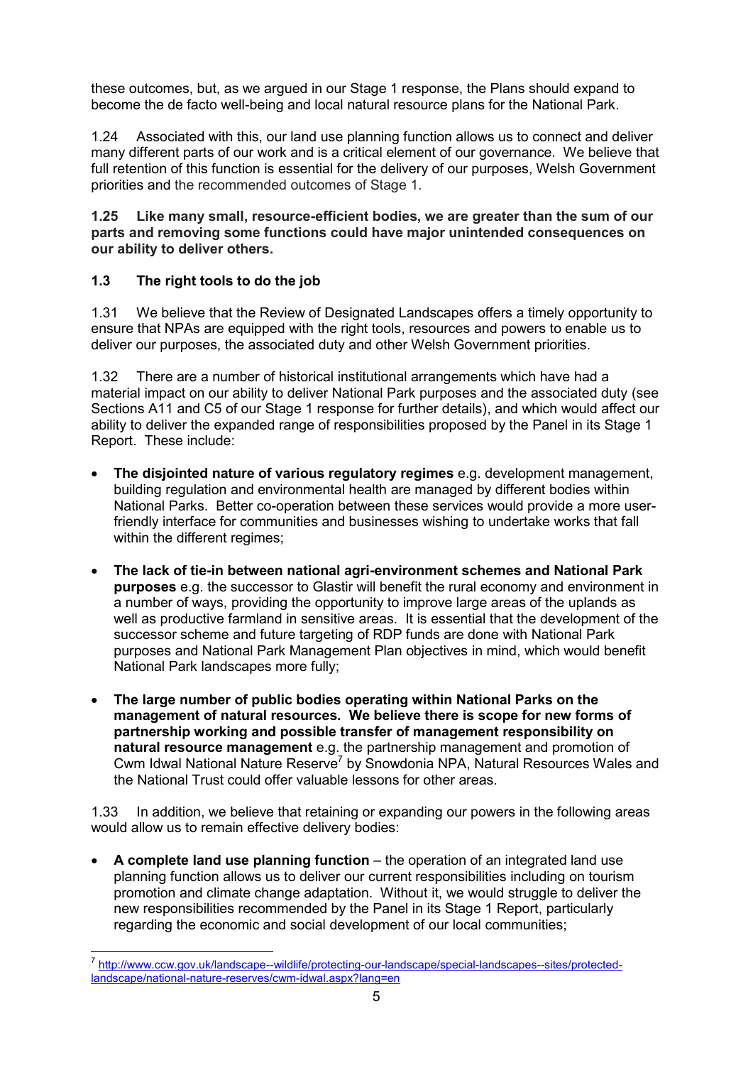these outcomes, but, as we argued in our Stage 1 response, the Plans should expand to become the de facto well-being and local natural resource plans for the National Park.

1.24 Associated with this, our land use planning function allows us to connect and deliver many different parts of our work and is a critical element of our governance. We believe that full retention of this function is essential for the delivery of our purposes, Welsh Government priorities and the recommended outcomes of Stage 1.

**1.25 Like many small, resource-efficient bodies, we are greater than the sum of our parts and removing some functions could have major unintended consequences on our ability to deliver others.** 

#### **1.3 The right tools to do the job**

1.31 We believe that the Review of Designated Landscapes offers a timely opportunity to ensure that NPAs are equipped with the right tools, resources and powers to enable us to deliver our purposes, the associated duty and other Welsh Government priorities.

1.32 There are a number of historical institutional arrangements which have had a material impact on our ability to deliver National Park purposes and the associated duty (see Sections A11 and C5 of our Stage 1 response for further details), and which would affect our ability to deliver the expanded range of responsibilities proposed by the Panel in its Stage 1 Report. These include:

- **The disjointed nature of various regulatory regimes** e.g. development management, building regulation and environmental health are managed by different bodies within National Parks. Better co-operation between these services would provide a more userfriendly interface for communities and businesses wishing to undertake works that fall within the different regimes;
- **The lack of tie-in between national agri-environment schemes and National Park purposes** e.g. the successor to Glastir will benefit the rural economy and environment in a number of ways, providing the opportunity to improve large areas of the uplands as well as productive farmland in sensitive areas. It is essential that the development of the successor scheme and future targeting of RDP funds are done with National Park purposes and National Park Management Plan objectives in mind, which would benefit National Park landscapes more fully;
- **The large number of public bodies operating within National Parks on the management of natural resources. We believe there is scope for new forms of partnership working and possible transfer of management responsibility on natural resource management** e.g. the partnership management and promotion of Cwm Idwal National Nature Reserve<sup>7</sup> by Snowdonia NPA, Natural Resources Wales and the National Trust could offer valuable lessons for other areas.

1.33 In addition, we believe that retaining or expanding our powers in the following areas would allow us to remain effective delivery bodies:

 **A complete land use planning function** – the operation of an integrated land use planning function allows us to deliver our current responsibilities including on tourism promotion and climate change adaptation. Without it, we would struggle to deliver the new responsibilities recommended by the Panel in its Stage 1 Report, particularly regarding the economic and social development of our local communities;

 7 [http://www.ccw.gov.uk/landscape--wildlife/protecting-our-landscape/special-landscapes--sites/protected](http://www.ccw.gov.uk/landscape--wildlife/protecting-our-landscape/special-landscapes--sites/protected-landscape/national-nature-reserves/cwm-idwal.aspx?lang=en)[landscape/national-nature-reserves/cwm-idwal.aspx?lang=en](http://www.ccw.gov.uk/landscape--wildlife/protecting-our-landscape/special-landscapes--sites/protected-landscape/national-nature-reserves/cwm-idwal.aspx?lang=en)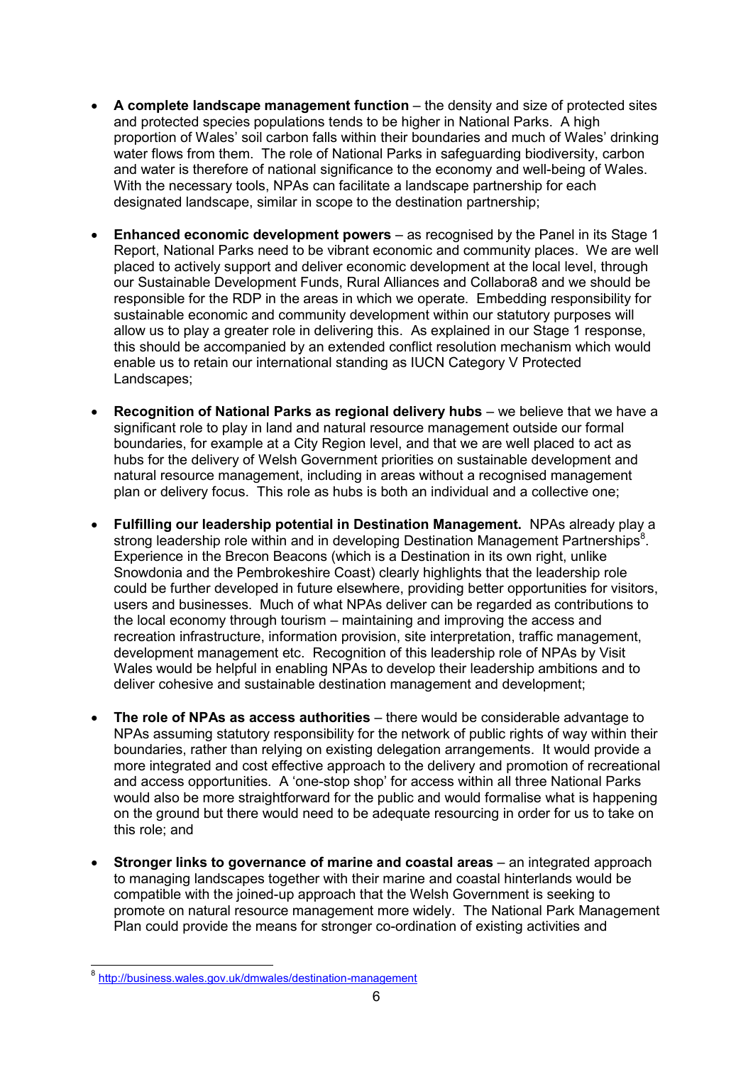- **A complete landscape management function**  the density and size of protected sites and protected species populations tends to be higher in National Parks. A high proportion of Wales' soil carbon falls within their boundaries and much of Wales' drinking water flows from them. The role of National Parks in safeguarding biodiversity, carbon and water is therefore of national significance to the economy and well-being of Wales. With the necessary tools, NPAs can facilitate a landscape partnership for each designated landscape, similar in scope to the destination partnership;
- **Enhanced economic development powers** as recognised by the Panel in its Stage 1 Report, National Parks need to be vibrant economic and community places. We are well placed to actively support and deliver economic development at the local level, through our Sustainable Development Funds, Rural Alliances and Collabora8 and we should be responsible for the RDP in the areas in which we operate. Embedding responsibility for sustainable economic and community development within our statutory purposes will allow us to play a greater role in delivering this. As explained in our Stage 1 response, this should be accompanied by an extended conflict resolution mechanism which would enable us to retain our international standing as IUCN Category V Protected Landscapes;
- **Recognition of National Parks as regional delivery hubs** we believe that we have a significant role to play in land and natural resource management outside our formal boundaries, for example at a City Region level, and that we are well placed to act as hubs for the delivery of Welsh Government priorities on sustainable development and natural resource management, including in areas without a recognised management plan or delivery focus. This role as hubs is both an individual and a collective one;
- **Fulfilling our leadership potential in Destination Management.** NPAs already play a strong leadership role within and in developing Destination Management Partnerships<sup>8</sup>. Experience in the Brecon Beacons (which is a Destination in its own right, unlike Snowdonia and the Pembrokeshire Coast) clearly highlights that the leadership role could be further developed in future elsewhere, providing better opportunities for visitors, users and businesses. Much of what NPAs deliver can be regarded as contributions to the local economy through tourism – maintaining and improving the access and recreation infrastructure, information provision, site interpretation, traffic management, development management etc. Recognition of this leadership role of NPAs by Visit Wales would be helpful in enabling NPAs to develop their leadership ambitions and to deliver cohesive and sustainable destination management and development;
- **The role of NPAs as access authorities** there would be considerable advantage to NPAs assuming statutory responsibility for the network of public rights of way within their boundaries, rather than relying on existing delegation arrangements. It would provide a more integrated and cost effective approach to the delivery and promotion of recreational and access opportunities. A 'one-stop shop' for access within all three National Parks would also be more straightforward for the public and would formalise what is happening on the ground but there would need to be adequate resourcing in order for us to take on this role; and
- **Stronger links to governance of marine and coastal areas** an integrated approach to managing landscapes together with their marine and coastal hinterlands would be compatible with the joined-up approach that the Welsh Government is seeking to promote on natural resource management more widely. The National Park Management Plan could provide the means for stronger co-ordination of existing activities and

\_<br><sup>8</sup> http://business.wales.gov.uk/dmwales/destination-management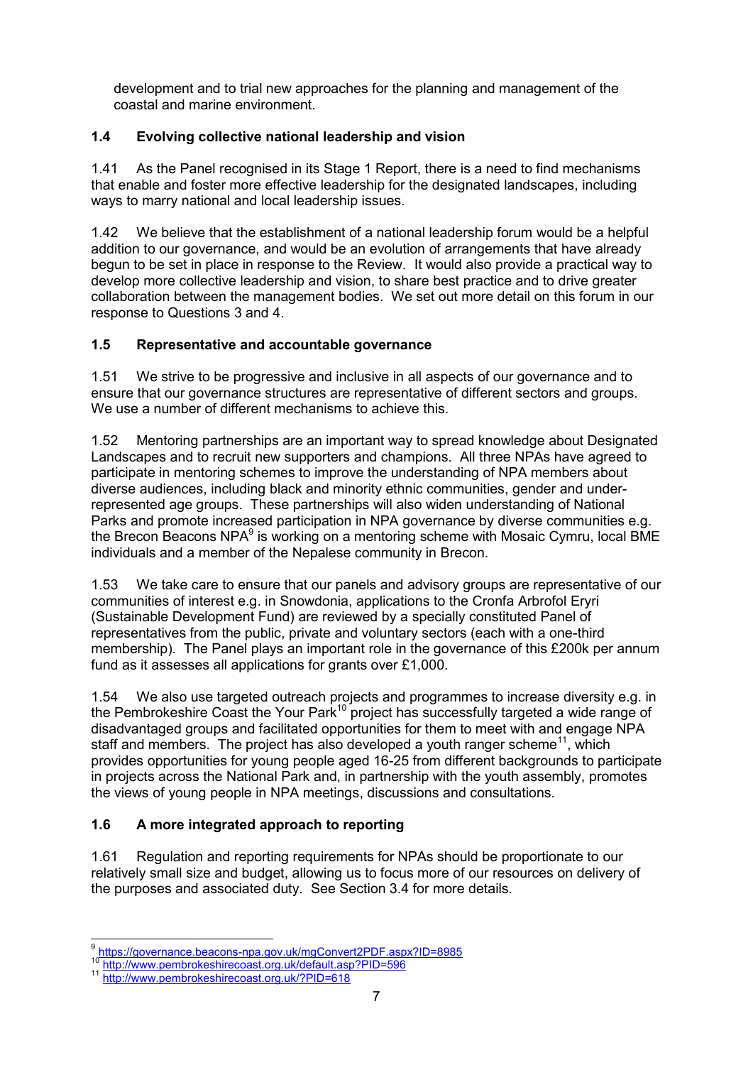development and to trial new approaches for the planning and management of the coastal and marine environment.

# **1.4 Evolving collective national leadership and vision**

1.41 As the Panel recognised in its Stage 1 Report, there is a need to find mechanisms that enable and foster more effective leadership for the designated landscapes, including ways to marry national and local leadership issues.

1.42 We believe that the establishment of a national leadership forum would be a helpful addition to our governance, and would be an evolution of arrangements that have already begun to be set in place in response to the Review. It would also provide a practical way to develop more collective leadership and vision, to share best practice and to drive greater collaboration between the management bodies. We set out more detail on this forum in our response to Questions 3 and 4.

# **1.5 Representative and accountable governance**

1.51 We strive to be progressive and inclusive in all aspects of our governance and to ensure that our governance structures are representative of different sectors and groups. We use a number of different mechanisms to achieve this.

1.52 Mentoring partnerships are an important way to spread knowledge about Designated Landscapes and to recruit new supporters and champions. All three NPAs have agreed to participate in mentoring schemes to improve the understanding of NPA members about diverse audiences, including black and minority ethnic communities, gender and underrepresented age groups. These partnerships will also widen understanding of National Parks and promote increased participation in NPA governance by diverse communities e.g. the Brecon Beacons NPA<sup>9</sup> is working on a mentoring scheme with Mosaic Cymru, local BME individuals and a member of the Nepalese community in Brecon.

1.53 We take care to ensure that our panels and advisory groups are representative of our communities of interest e.g. in Snowdonia, applications to the Cronfa Arbrofol Eryri (Sustainable Development Fund) are reviewed by a specially constituted Panel of representatives from the public, private and voluntary sectors (each with a one-third membership). The Panel plays an important role in the governance of this £200k per annum fund as it assesses all applications for grants over £1,000.

1.54 We also use targeted outreach projects and programmes to increase diversity e.g. in the Pembrokeshire Coast the Your Park<sup>10</sup> project has successfully targeted a wide range of disadvantaged groups and facilitated opportunities for them to meet with and engage NPA staff and members. The project has also developed a youth ranger scheme<sup>11</sup>, which provides opportunities for young people aged 16-25 from different backgrounds to participate in projects across the National Park and, in partnership with the youth assembly, promotes the views of young people in NPA meetings, discussions and consultations.

# **1.6 A more integrated approach to reporting**

1.61 Regulation and reporting requirements for NPAs should be proportionate to our relatively small size and budget, allowing us to focus more of our resources on delivery of the purposes and associated duty. See Section 3.4 for more details.

 9 <https://governance.beacons-npa.gov.uk/mgConvert2PDF.aspx?ID=8985>

<sup>10</sup> <http://www.pembrokeshirecoast.org.uk/default.asp?PID=596>

<sup>11</sup> <http://www.pembrokeshirecoast.org.uk/?PID=618>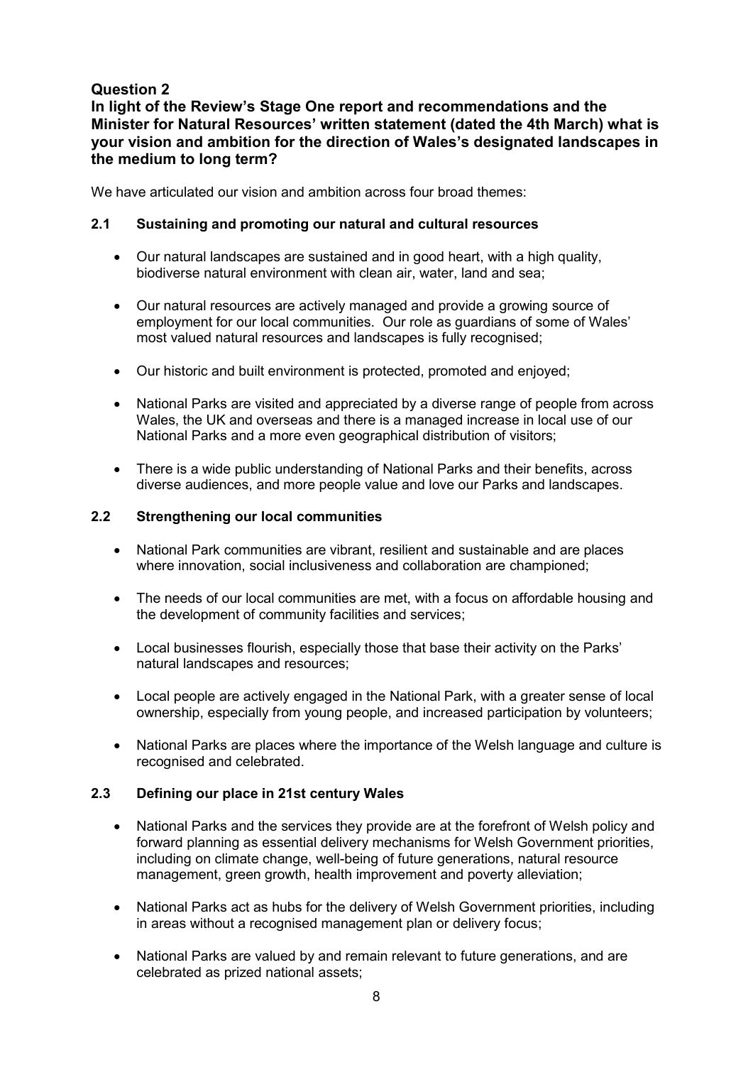# **In light of the Review's Stage One report and recommendations and the Minister for Natural Resources' written statement (dated the 4th March) what is your vision and ambition for the direction of Wales's designated landscapes in the medium to long term?**

We have articulated our vision and ambition across four broad themes:

#### **2.1 Sustaining and promoting our natural and cultural resources**

- Our natural landscapes are sustained and in good heart, with a high quality, biodiverse natural environment with clean air, water, land and sea;
- Our natural resources are actively managed and provide a growing source of employment for our local communities. Our role as guardians of some of Wales' most valued natural resources and landscapes is fully recognised;
- Our historic and built environment is protected, promoted and enjoyed;
- National Parks are visited and appreciated by a diverse range of people from across Wales, the UK and overseas and there is a managed increase in local use of our National Parks and a more even geographical distribution of visitors;
- There is a wide public understanding of National Parks and their benefits, across diverse audiences, and more people value and love our Parks and landscapes.

#### **2.2 Strengthening our local communities**

- National Park communities are vibrant, resilient and sustainable and are places where innovation, social inclusiveness and collaboration are championed;
- The needs of our local communities are met, with a focus on affordable housing and the development of community facilities and services;
- Local businesses flourish, especially those that base their activity on the Parks' natural landscapes and resources;
- Local people are actively engaged in the National Park, with a greater sense of local ownership, especially from young people, and increased participation by volunteers;
- National Parks are places where the importance of the Welsh language and culture is recognised and celebrated.

#### **2.3 Defining our place in 21st century Wales**

- National Parks and the services they provide are at the forefront of Welsh policy and forward planning as essential delivery mechanisms for Welsh Government priorities, including on climate change, well-being of future generations, natural resource management, green growth, health improvement and poverty alleviation;
- National Parks act as hubs for the delivery of Welsh Government priorities, including in areas without a recognised management plan or delivery focus;
- National Parks are valued by and remain relevant to future generations, and are celebrated as prized national assets;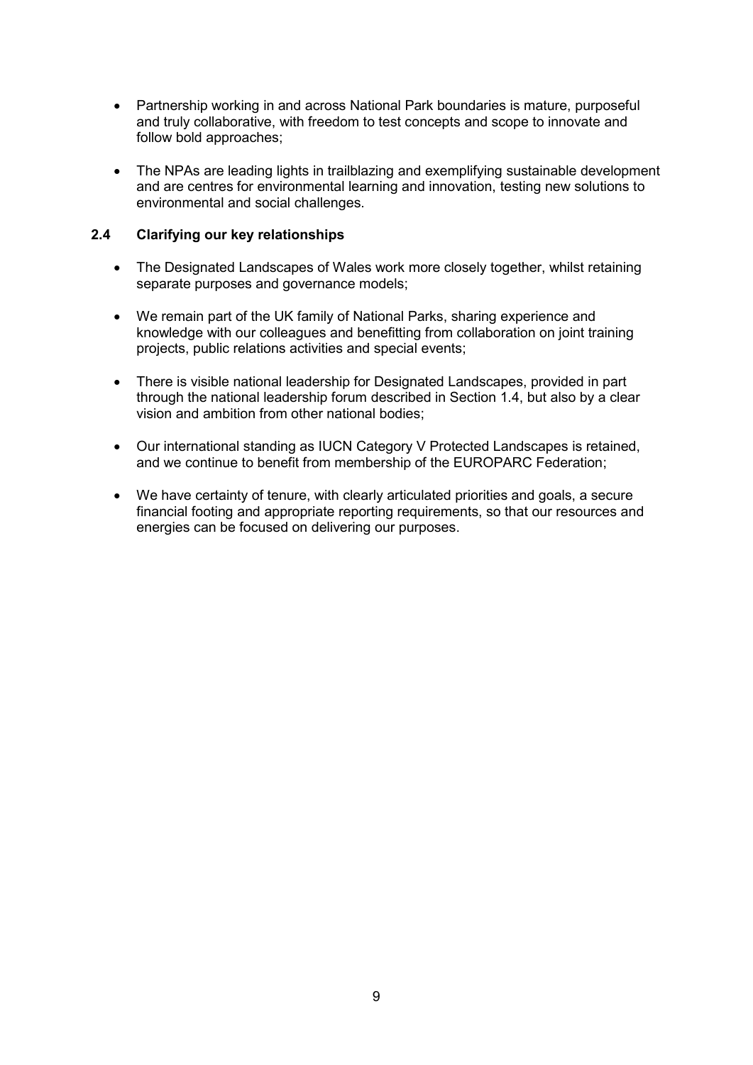- Partnership working in and across National Park boundaries is mature, purposeful and truly collaborative, with freedom to test concepts and scope to innovate and follow bold approaches;
- The NPAs are leading lights in trailblazing and exemplifying sustainable development and are centres for environmental learning and innovation, testing new solutions to environmental and social challenges.

#### **2.4 Clarifying our key relationships**

- The Designated Landscapes of Wales work more closely together, whilst retaining separate purposes and governance models;
- We remain part of the UK family of National Parks, sharing experience and knowledge with our colleagues and benefitting from collaboration on joint training projects, public relations activities and special events;
- There is visible national leadership for Designated Landscapes, provided in part through the national leadership forum described in Section 1.4, but also by a clear vision and ambition from other national bodies;
- Our international standing as IUCN Category V Protected Landscapes is retained, and we continue to benefit from membership of the EUROPARC Federation;
- We have certainty of tenure, with clearly articulated priorities and goals, a secure financial footing and appropriate reporting requirements, so that our resources and energies can be focused on delivering our purposes.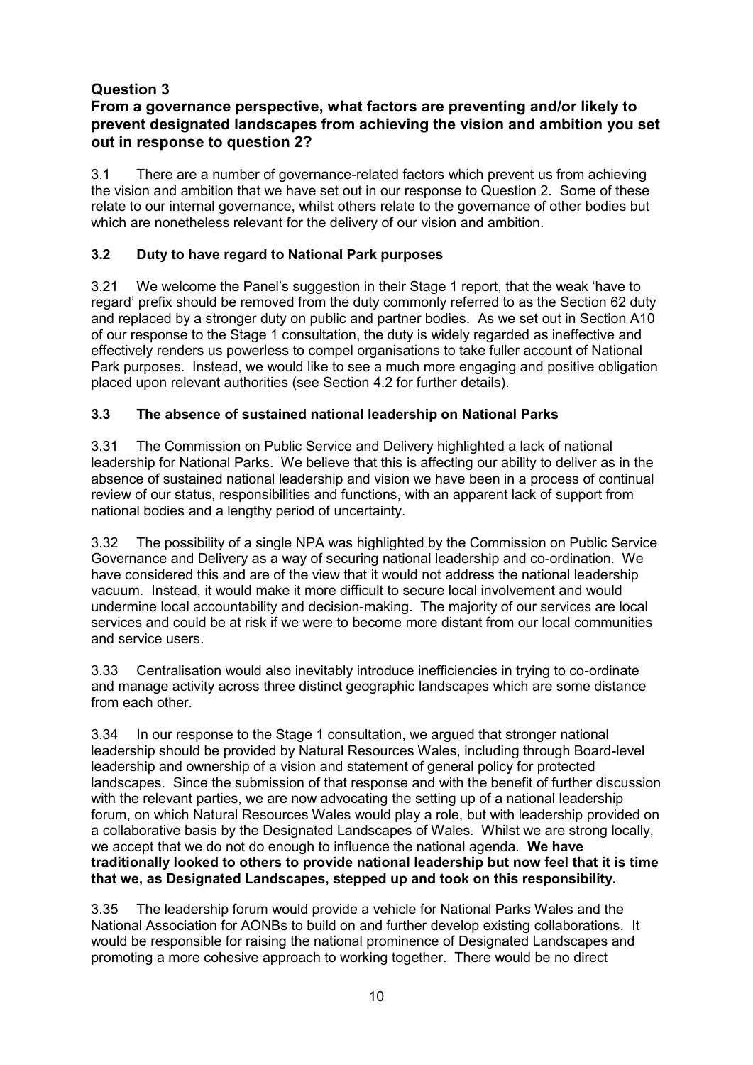# **From a governance perspective, what factors are preventing and/or likely to prevent designated landscapes from achieving the vision and ambition you set out in response to question 2?**

3.1 There are a number of governance-related factors which prevent us from achieving the vision and ambition that we have set out in our response to Question 2. Some of these relate to our internal governance, whilst others relate to the governance of other bodies but which are nonetheless relevant for the delivery of our vision and ambition.

# **3.2 Duty to have regard to National Park purposes**

3.21 We welcome the Panel's suggestion in their Stage 1 report, that the weak 'have to regard' prefix should be removed from the duty commonly referred to as the Section 62 duty and replaced by a stronger duty on public and partner bodies. As we set out in Section A10 of our response to the Stage 1 consultation, the duty is widely regarded as ineffective and effectively renders us powerless to compel organisations to take fuller account of National Park purposes. Instead, we would like to see a much more engaging and positive obligation placed upon relevant authorities (see Section 4.2 for further details).

# **3.3 The absence of sustained national leadership on National Parks**

3.31 The Commission on Public Service and Delivery highlighted a lack of national leadership for National Parks. We believe that this is affecting our ability to deliver as in the absence of sustained national leadership and vision we have been in a process of continual review of our status, responsibilities and functions, with an apparent lack of support from national bodies and a lengthy period of uncertainty.

3.32 The possibility of a single NPA was highlighted by the Commission on Public Service Governance and Delivery as a way of securing national leadership and co-ordination. We have considered this and are of the view that it would not address the national leadership vacuum. Instead, it would make it more difficult to secure local involvement and would undermine local accountability and decision-making. The majority of our services are local services and could be at risk if we were to become more distant from our local communities and service users.

3.33 Centralisation would also inevitably introduce inefficiencies in trying to co-ordinate and manage activity across three distinct geographic landscapes which are some distance from each other.

3.34 In our response to the Stage 1 consultation, we argued that stronger national leadership should be provided by Natural Resources Wales, including through Board-level leadership and ownership of a vision and statement of general policy for protected landscapes. Since the submission of that response and with the benefit of further discussion with the relevant parties, we are now advocating the setting up of a national leadership forum, on which Natural Resources Wales would play a role, but with leadership provided on a collaborative basis by the Designated Landscapes of Wales. Whilst we are strong locally, we accept that we do not do enough to influence the national agenda. **We have traditionally looked to others to provide national leadership but now feel that it is time that we, as Designated Landscapes, stepped up and took on this responsibility.**

3.35 The leadership forum would provide a vehicle for National Parks Wales and the National Association for AONBs to build on and further develop existing collaborations. It would be responsible for raising the national prominence of Designated Landscapes and promoting a more cohesive approach to working together. There would be no direct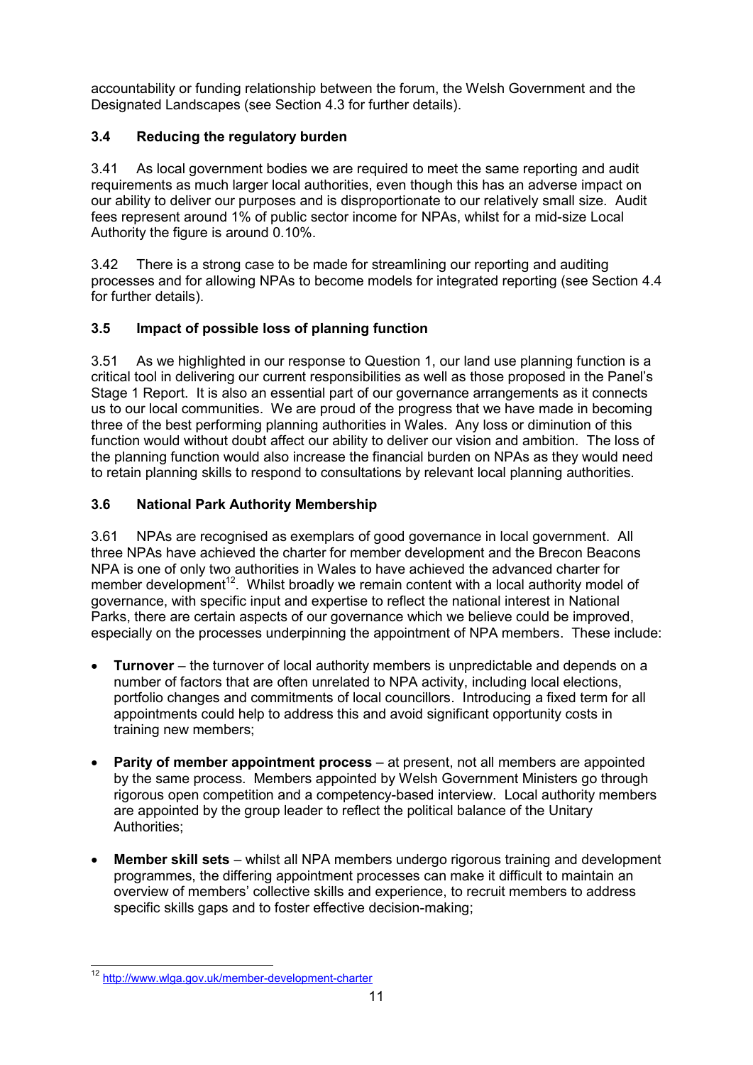accountability or funding relationship between the forum, the Welsh Government and the Designated Landscapes (see Section 4.3 for further details).

# **3.4 Reducing the regulatory burden**

3.41 As local government bodies we are required to meet the same reporting and audit requirements as much larger local authorities, even though this has an adverse impact on our ability to deliver our purposes and is disproportionate to our relatively small size. Audit fees represent around 1% of public sector income for NPAs, whilst for a mid-size Local Authority the figure is around 0.10%.

3.42 There is a strong case to be made for streamlining our reporting and auditing processes and for allowing NPAs to become models for integrated reporting (see Section 4.4 for further details).

# **3.5 Impact of possible loss of planning function**

3.51 As we highlighted in our response to Question 1, our land use planning function is a critical tool in delivering our current responsibilities as well as those proposed in the Panel's Stage 1 Report. It is also an essential part of our governance arrangements as it connects us to our local communities. We are proud of the progress that we have made in becoming three of the best performing planning authorities in Wales. Any loss or diminution of this function would without doubt affect our ability to deliver our vision and ambition. The loss of the planning function would also increase the financial burden on NPAs as they would need to retain planning skills to respond to consultations by relevant local planning authorities.

#### **3.6 National Park Authority Membership**

3.61 NPAs are recognised as exemplars of good governance in local government. All three NPAs have achieved the charter for member development and the Brecon Beacons NPA is one of only two authorities in Wales to have achieved the advanced charter for member development<sup>12</sup>. Whilst broadly we remain content with a local authority model of governance, with specific input and expertise to reflect the national interest in National Parks, there are certain aspects of our governance which we believe could be improved, especially on the processes underpinning the appointment of NPA members. These include:

- **Turnover** the turnover of local authority members is unpredictable and depends on a number of factors that are often unrelated to NPA activity, including local elections, portfolio changes and commitments of local councillors. Introducing a fixed term for all appointments could help to address this and avoid significant opportunity costs in training new members;
- **Parity of member appointment process**  at present, not all members are appointed by the same process. Members appointed by Welsh Government Ministers go through rigorous open competition and a competency-based interview. Local authority members are appointed by the group leader to reflect the political balance of the Unitary Authorities;
- **Member skill sets** whilst all NPA members undergo rigorous training and development programmes, the differing appointment processes can make it difficult to maintain an overview of members' collective skills and experience, to recruit members to address specific skills gaps and to foster effective decision-making;

 $\overline{a}$ <sup>12</sup> <http://www.wlga.gov.uk/member-development-charter>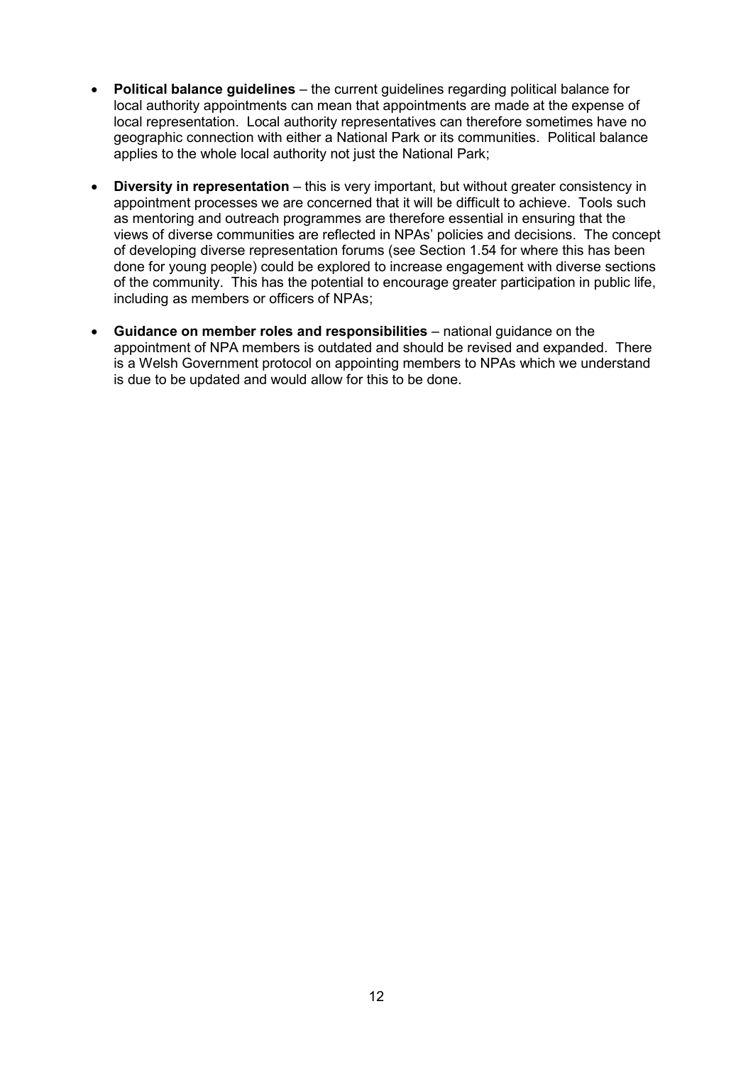- **Political balance guidelines** the current guidelines regarding political balance for local authority appointments can mean that appointments are made at the expense of local representation. Local authority representatives can therefore sometimes have no geographic connection with either a National Park or its communities. Political balance applies to the whole local authority not just the National Park;
- **Diversity in representation** this is very important, but without greater consistency in appointment processes we are concerned that it will be difficult to achieve. Tools such as mentoring and outreach programmes are therefore essential in ensuring that the views of diverse communities are reflected in NPAs' policies and decisions. The concept of developing diverse representation forums (see Section 1.54 for where this has been done for young people) could be explored to increase engagement with diverse sections of the community. This has the potential to encourage greater participation in public life, including as members or officers of NPAs;
- **Guidance on member roles and responsibilities** national guidance on the appointment of NPA members is outdated and should be revised and expanded. There is a Welsh Government protocol on appointing members to NPAs which we understand is due to be updated and would allow for this to be done.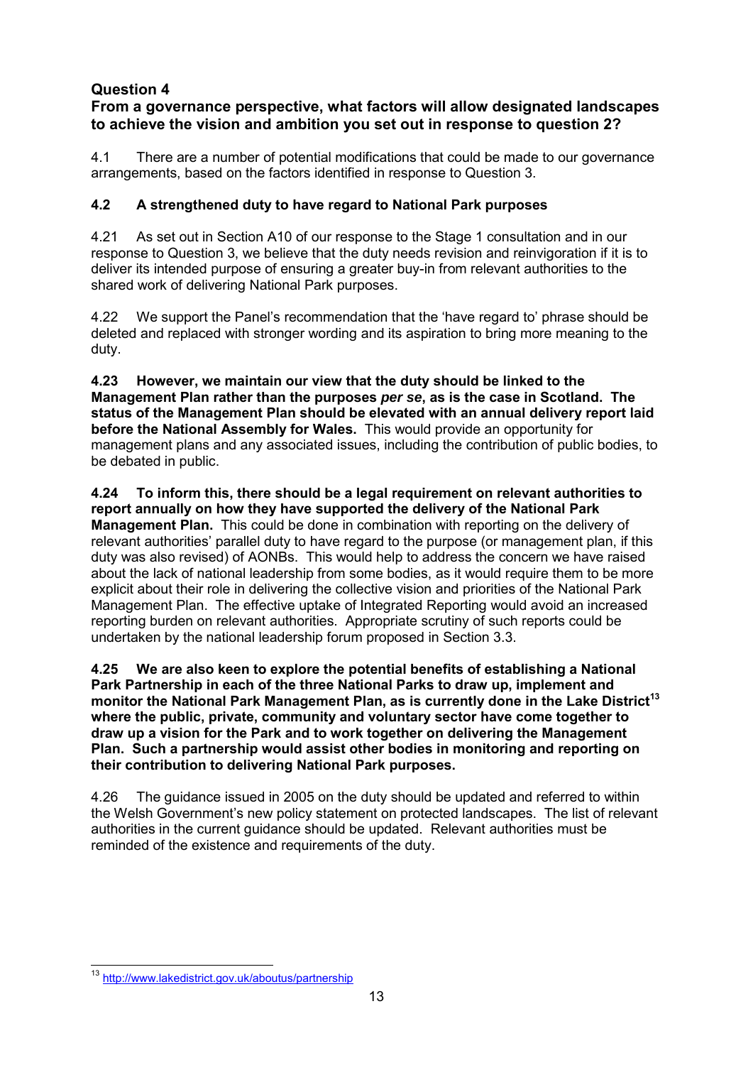# **From a governance perspective, what factors will allow designated landscapes to achieve the vision and ambition you set out in response to question 2?**

4.1 There are a number of potential modifications that could be made to our governance arrangements, based on the factors identified in response to Question 3.

# **4.2 A strengthened duty to have regard to National Park purposes**

4.21 As set out in Section A10 of our response to the Stage 1 consultation and in our response to Question 3, we believe that the duty needs revision and reinvigoration if it is to deliver its intended purpose of ensuring a greater buy-in from relevant authorities to the shared work of delivering National Park purposes.

4.22 We support the Panel's recommendation that the 'have regard to' phrase should be deleted and replaced with stronger wording and its aspiration to bring more meaning to the duty.

**4.23 However, we maintain our view that the duty should be linked to the Management Plan rather than the purposes** *per se***, as is the case in Scotland. The status of the Management Plan should be elevated with an annual delivery report laid before the National Assembly for Wales.** This would provide an opportunity for management plans and any associated issues, including the contribution of public bodies, to be debated in public.

**4.24 To inform this, there should be a legal requirement on relevant authorities to report annually on how they have supported the delivery of the National Park Management Plan.** This could be done in combination with reporting on the delivery of relevant authorities' parallel duty to have regard to the purpose (or management plan, if this duty was also revised) of AONBs. This would help to address the concern we have raised about the lack of national leadership from some bodies, as it would require them to be more explicit about their role in delivering the collective vision and priorities of the National Park Management Plan. The effective uptake of Integrated Reporting would avoid an increased reporting burden on relevant authorities. Appropriate scrutiny of such reports could be undertaken by the national leadership forum proposed in Section 3.3.

**4.25 We are also keen to explore the potential benefits of establishing a National Park Partnership in each of the three National Parks to draw up, implement and monitor the National Park Management Plan, as is currently done in the Lake District<sup>13</sup> where the public, private, community and voluntary sector have come together to draw up a vision for the Park and to work together on delivering the Management Plan. Such a partnership would assist other bodies in monitoring and reporting on their contribution to delivering National Park purposes.** 

4.26 The guidance issued in 2005 on the duty should be updated and referred to within the Welsh Government's new policy statement on protected landscapes. The list of relevant authorities in the current guidance should be updated. Relevant authorities must be reminded of the existence and requirements of the duty.

 $\overline{a}$ <sup>13</sup> http://www.lakedistrict.gov.uk/aboutus/partnership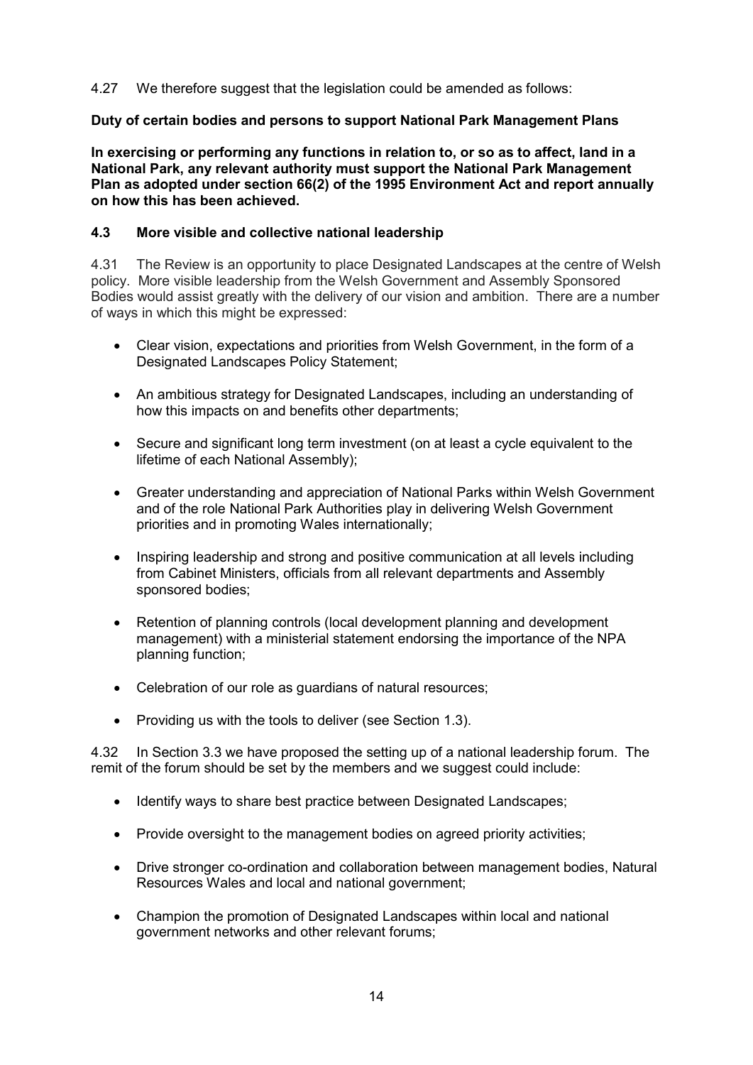#### 4.27 We therefore suggest that the legislation could be amended as follows:

#### **Duty of certain bodies and persons to support National Park Management Plans**

**In exercising or performing any functions in relation to, or so as to affect, land in a National Park, any relevant authority must support the National Park Management Plan as adopted under section 66(2) of the 1995 Environment Act and report annually on how this has been achieved.** 

#### **4.3 More visible and collective national leadership**

4.31 The Review is an opportunity to place Designated Landscapes at the centre of Welsh policy. More visible leadership from the Welsh Government and Assembly Sponsored Bodies would assist greatly with the delivery of our vision and ambition. There are a number of ways in which this might be expressed:

- Clear vision, expectations and priorities from Welsh Government, in the form of a Designated Landscapes Policy Statement;
- An ambitious strategy for Designated Landscapes, including an understanding of how this impacts on and benefits other departments;
- Secure and significant long term investment (on at least a cycle equivalent to the lifetime of each National Assembly);
- Greater understanding and appreciation of National Parks within Welsh Government and of the role National Park Authorities play in delivering Welsh Government priorities and in promoting Wales internationally;
- Inspiring leadership and strong and positive communication at all levels including from Cabinet Ministers, officials from all relevant departments and Assembly sponsored bodies;
- Retention of planning controls (local development planning and development management) with a ministerial statement endorsing the importance of the NPA planning function;
- Celebration of our role as guardians of natural resources;
- Providing us with the tools to deliver (see Section 1.3).

4.32 In Section 3.3 we have proposed the setting up of a national leadership forum. The remit of the forum should be set by the members and we suggest could include:

- Identify ways to share best practice between Designated Landscapes;
- Provide oversight to the management bodies on agreed priority activities;
- Drive stronger co-ordination and collaboration between management bodies, Natural Resources Wales and local and national government;
- Champion the promotion of Designated Landscapes within local and national government networks and other relevant forums;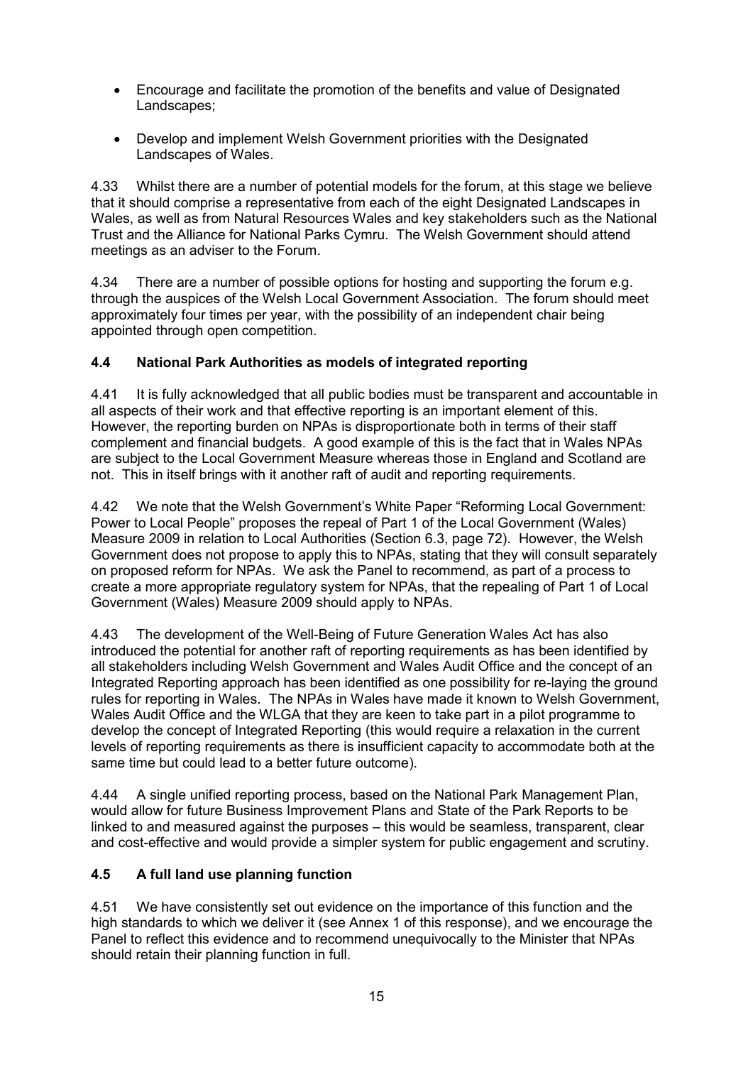- Encourage and facilitate the promotion of the benefits and value of Designated Landscapes;
- Develop and implement Welsh Government priorities with the Designated Landscapes of Wales.

4.33 Whilst there are a number of potential models for the forum, at this stage we believe that it should comprise a representative from each of the eight Designated Landscapes in Wales, as well as from Natural Resources Wales and key stakeholders such as the National Trust and the Alliance for National Parks Cymru. The Welsh Government should attend meetings as an adviser to the Forum.

4.34 There are a number of possible options for hosting and supporting the forum e.g. through the auspices of the Welsh Local Government Association. The forum should meet approximately four times per year, with the possibility of an independent chair being appointed through open competition.

#### **4.4 National Park Authorities as models of integrated reporting**

4.41 It is fully acknowledged that all public bodies must be transparent and accountable in all aspects of their work and that effective reporting is an important element of this. However, the reporting burden on NPAs is disproportionate both in terms of their staff complement and financial budgets. A good example of this is the fact that in Wales NPAs are subject to the Local Government Measure whereas those in England and Scotland are not. This in itself brings with it another raft of audit and reporting requirements.

4.42 We note that the Welsh Government's White Paper "Reforming Local Government: Power to Local People" proposes the repeal of Part 1 of the Local Government (Wales) Measure 2009 in relation to Local Authorities (Section 6.3, page 72). However, the Welsh Government does not propose to apply this to NPAs, stating that they will consult separately on proposed reform for NPAs. We ask the Panel to recommend, as part of a process to create a more appropriate regulatory system for NPAs, that the repealing of Part 1 of Local Government (Wales) Measure 2009 should apply to NPAs.

4.43 The development of the Well-Being of Future Generation Wales Act has also introduced the potential for another raft of reporting requirements as has been identified by all stakeholders including Welsh Government and Wales Audit Office and the concept of an Integrated Reporting approach has been identified as one possibility for re-laying the ground rules for reporting in Wales. The NPAs in Wales have made it known to Welsh Government, Wales Audit Office and the WLGA that they are keen to take part in a pilot programme to develop the concept of Integrated Reporting (this would require a relaxation in the current levels of reporting requirements as there is insufficient capacity to accommodate both at the same time but could lead to a better future outcome).

4.44 A single unified reporting process, based on the National Park Management Plan, would allow for future Business Improvement Plans and State of the Park Reports to be linked to and measured against the purposes – this would be seamless, transparent, clear and cost-effective and would provide a simpler system for public engagement and scrutiny.

#### **4.5 A full land use planning function**

4.51 We have consistently set out evidence on the importance of this function and the high standards to which we deliver it (see Annex 1 of this response), and we encourage the Panel to reflect this evidence and to recommend unequivocally to the Minister that NPAs should retain their planning function in full.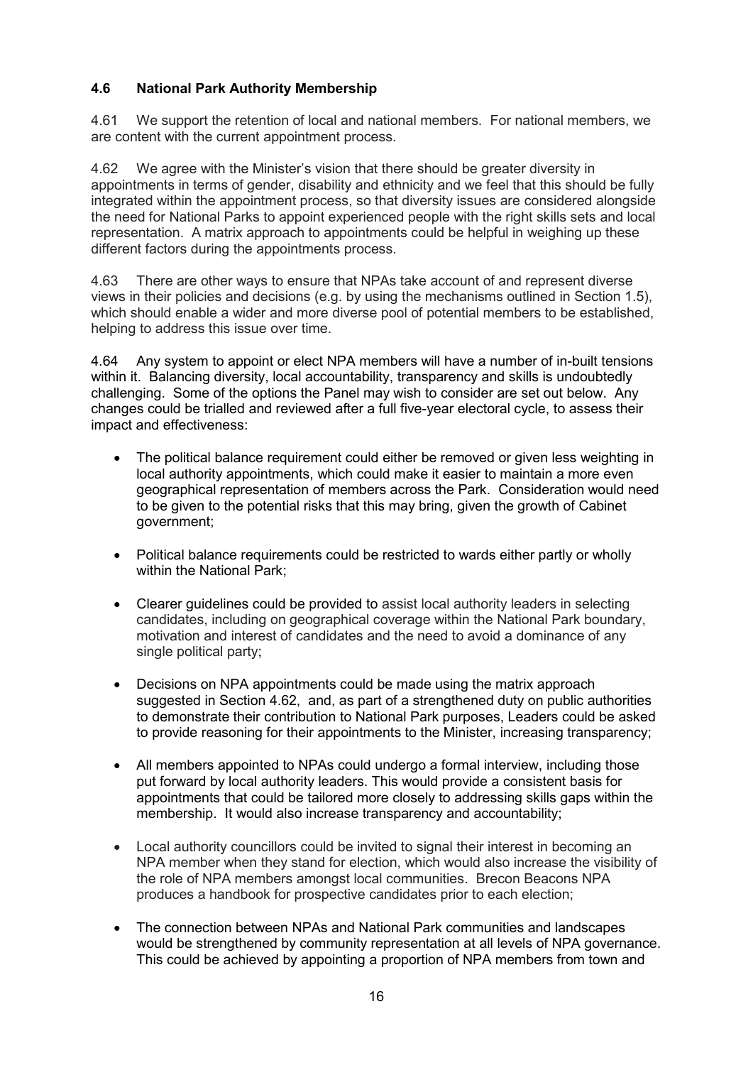# **4.6 National Park Authority Membership**

4.61 We support the retention of local and national members. For national members, we are content with the current appointment process.

4.62 We agree with the Minister's vision that there should be greater diversity in appointments in terms of gender, disability and ethnicity and we feel that this should be fully integrated within the appointment process, so that diversity issues are considered alongside the need for National Parks to appoint experienced people with the right skills sets and local representation. A matrix approach to appointments could be helpful in weighing up these different factors during the appointments process.

4.63 There are other ways to ensure that NPAs take account of and represent diverse views in their policies and decisions (e.g. by using the mechanisms outlined in Section 1.5), which should enable a wider and more diverse pool of potential members to be established, helping to address this issue over time.

4.64 Any system to appoint or elect NPA members will have a number of in-built tensions within it. Balancing diversity, local accountability, transparency and skills is undoubtedly challenging. Some of the options the Panel may wish to consider are set out below. Any changes could be trialled and reviewed after a full five-year electoral cycle, to assess their impact and effectiveness:

- The political balance requirement could either be removed or given less weighting in local authority appointments, which could make it easier to maintain a more even geographical representation of members across the Park. Consideration would need to be given to the potential risks that this may bring, given the growth of Cabinet government;
- Political balance requirements could be restricted to wards either partly or wholly within the National Park;
- Clearer guidelines could be provided to assist local authority leaders in selecting candidates, including on geographical coverage within the National Park boundary, motivation and interest of candidates and the need to avoid a dominance of any single political party;
- Decisions on NPA appointments could be made using the matrix approach suggested in Section 4.62, and, as part of a strengthened duty on public authorities to demonstrate their contribution to National Park purposes, Leaders could be asked to provide reasoning for their appointments to the Minister, increasing transparency;
- All members appointed to NPAs could undergo a formal interview, including those put forward by local authority leaders. This would provide a consistent basis for appointments that could be tailored more closely to addressing skills gaps within the membership. It would also increase transparency and accountability;
- Local authority councillors could be invited to signal their interest in becoming an NPA member when they stand for election, which would also increase the visibility of the role of NPA members amongst local communities. Brecon Beacons NPA produces a handbook for prospective candidates prior to each election;
- The connection between NPAs and National Park communities and landscapes would be strengthened by community representation at all levels of NPA governance. This could be achieved by appointing a proportion of NPA members from town and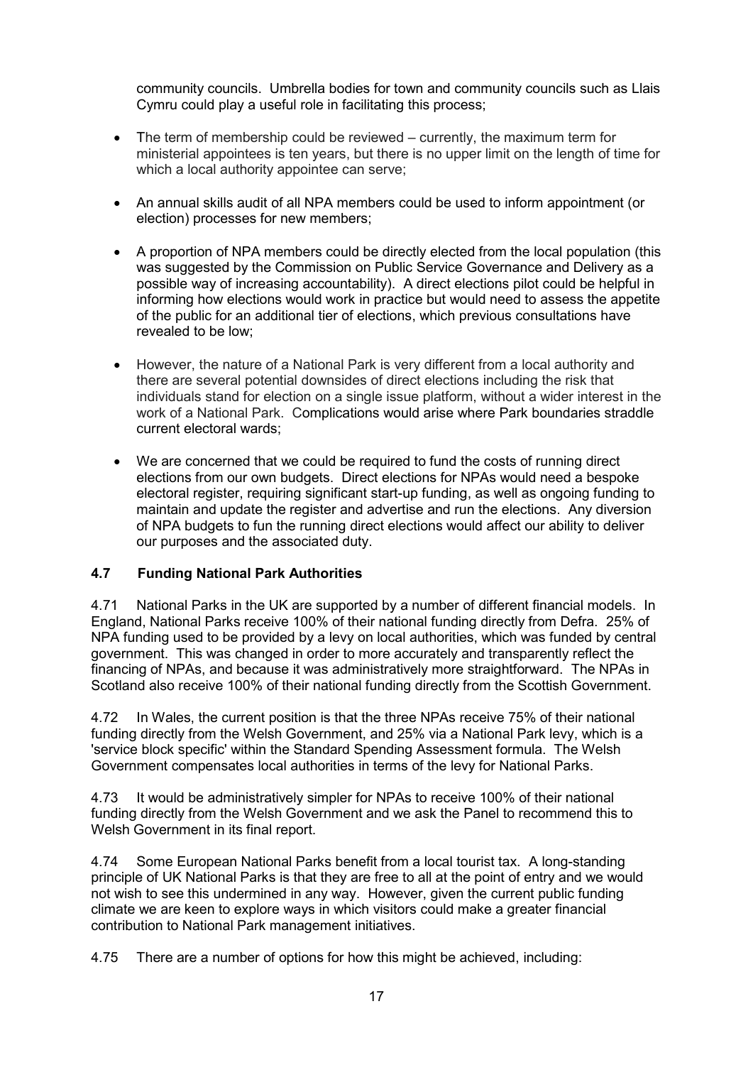community councils. Umbrella bodies for town and community councils such as Llais Cymru could play a useful role in facilitating this process;

- The term of membership could be reviewed currently, the maximum term for ministerial appointees is ten years, but there is no upper limit on the length of time for which a local authority appointee can serve;
- An annual skills audit of all NPA members could be used to inform appointment (or election) processes for new members;
- A proportion of NPA members could be directly elected from the local population (this was suggested by the Commission on Public Service Governance and Delivery as a possible way of increasing accountability). A direct elections pilot could be helpful in informing how elections would work in practice but would need to assess the appetite of the public for an additional tier of elections, which previous consultations have revealed to be low;
- However, the nature of a National Park is very different from a local authority and there are several potential downsides of direct elections including the risk that individuals stand for election on a single issue platform, without a wider interest in the work of a National Park. Complications would arise where Park boundaries straddle current electoral wards;
- We are concerned that we could be required to fund the costs of running direct elections from our own budgets. Direct elections for NPAs would need a bespoke electoral register, requiring significant start-up funding, as well as ongoing funding to maintain and update the register and advertise and run the elections. Any diversion of NPA budgets to fun the running direct elections would affect our ability to deliver our purposes and the associated duty.

#### **4.7 Funding National Park Authorities**

4.71 National Parks in the UK are supported by a number of different financial models. In England, National Parks receive 100% of their national funding directly from Defra. 25% of NPA funding used to be provided by a levy on local authorities, which was funded by central government. This was changed in order to more accurately and transparently reflect the financing of NPAs, and because it was administratively more straightforward. The NPAs in Scotland also receive 100% of their national funding directly from the Scottish Government.

4.72 In Wales, the current position is that the three NPAs receive 75% of their national funding directly from the Welsh Government, and 25% via a National Park levy, which is a 'service block specific' within the Standard Spending Assessment formula. The Welsh Government compensates local authorities in terms of the levy for National Parks.

4.73 It would be administratively simpler for NPAs to receive 100% of their national funding directly from the Welsh Government and we ask the Panel to recommend this to Welsh Government in its final report.

4.74 Some European National Parks benefit from a local tourist tax. A long-standing principle of UK National Parks is that they are free to all at the point of entry and we would not wish to see this undermined in any way. However, given the current public funding climate we are keen to explore ways in which visitors could make a greater financial contribution to National Park management initiatives.

4.75 There are a number of options for how this might be achieved, including: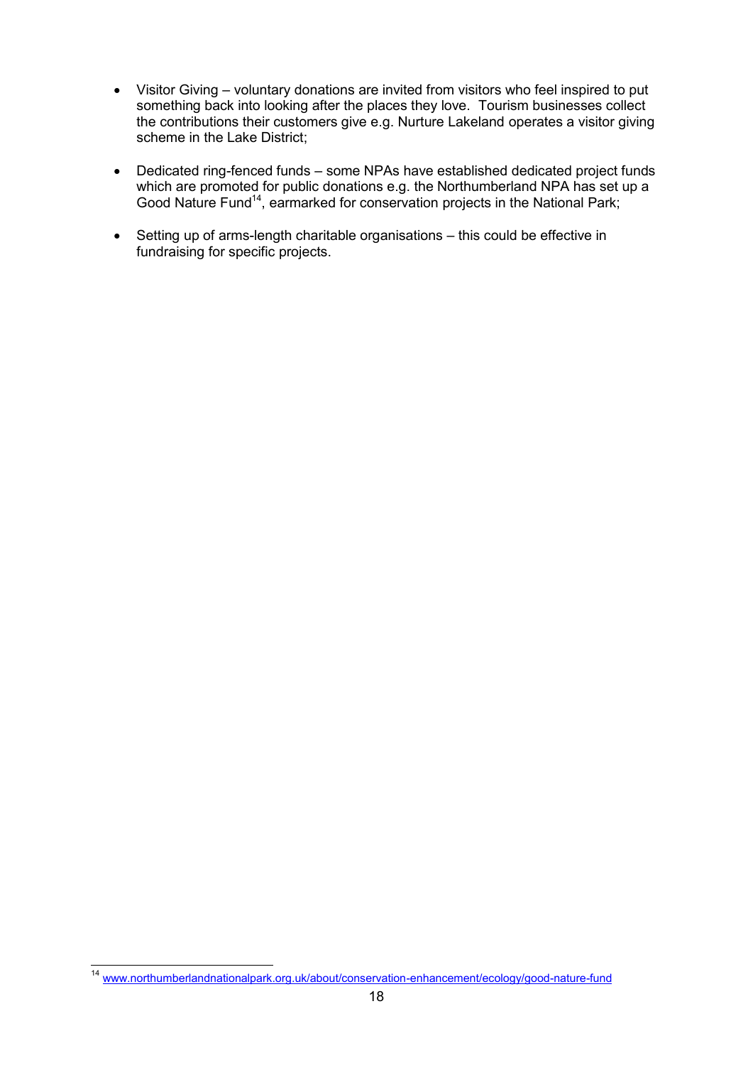- Visitor Giving voluntary donations are invited from visitors who feel inspired to put something back into looking after the places they love. Tourism businesses collect the contributions their customers give e.g. Nurture Lakeland operates a visitor giving scheme in the Lake District;
- Dedicated ring-fenced funds some NPAs have established dedicated project funds which are promoted for public donations e.g. the Northumberland NPA has set up a Good Nature Fund<sup>14</sup>, earmarked for conservation projects in the National Park;
- Setting up of arms-length charitable organisations this could be effective in fundraising for specific projects.

 $\overline{a}$ <sup>14</sup> www.northumberlandnationalpark.org.uk/about/conservation-enhancement/ecology/good-nature-fund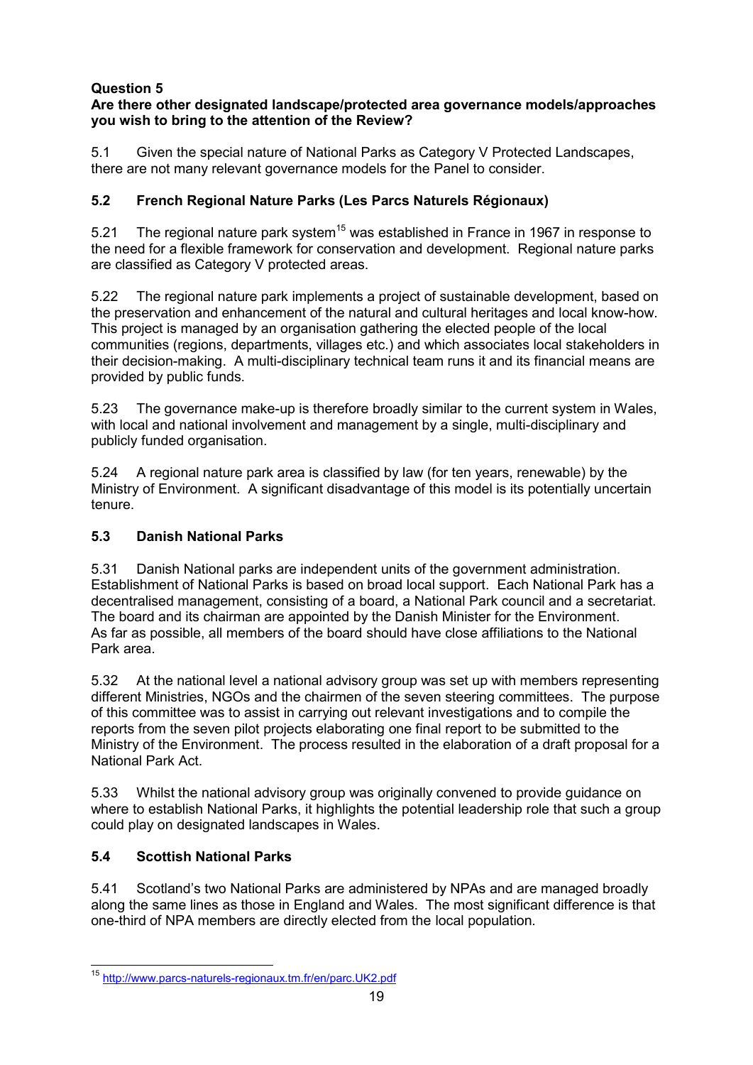#### **Are there other designated landscape/protected area governance models/approaches you wish to bring to the attention of the Review?**

5.1 Given the special nature of National Parks as Category V Protected Landscapes, there are not many relevant governance models for the Panel to consider.

# **5.2 French Regional Nature Parks (Les Parcs Naturels Régionaux)**

5.21 The regional nature park system<sup>15</sup> was established in France in 1967 in response to the need for a flexible framework for conservation and development. Regional nature parks are classified as Category V protected areas.

5.22 The regional nature park implements a project of sustainable development, based on the preservation and enhancement of the natural and cultural heritages and local know-how. This project is managed by an organisation gathering the elected people of the local communities (regions, departments, villages etc.) and which associates local stakeholders in their decision-making. A multi-disciplinary technical team runs it and its financial means are provided by public funds.

5.23 The governance make-up is therefore broadly similar to the current system in Wales, with local and national involvement and management by a single, multi-disciplinary and publicly funded organisation.

5.24 A regional nature park area is classified by law (for ten years, renewable) by the Ministry of Environment. A significant disadvantage of this model is its potentially uncertain tenure.

#### **5.3 Danish National Parks**

5.31 Danish National parks are independent units of the government administration. Establishment of National Parks is based on broad local support. Each National Park has a decentralised management, consisting of a board, a National Park council and a secretariat. The board and its chairman are appointed by the Danish Minister for the Environment. As far as possible, all members of the board should have close affiliations to the National Park area.

5.32 At the national level a national advisory group was set up with members representing different Ministries, NGOs and the chairmen of the seven steering committees. The purpose of this committee was to assist in carrying out relevant investigations and to compile the reports from the seven pilot projects elaborating one final report to be submitted to the Ministry of the Environment. The process resulted in the elaboration of a draft proposal for a National Park Act.

5.33 Whilst the national advisory group was originally convened to provide guidance on where to establish National Parks, it highlights the potential leadership role that such a group could play on designated landscapes in Wales.

#### **5.4 Scottish National Parks**

5.41 Scotland's two National Parks are administered by NPAs and are managed broadly along the same lines as those in England and Wales. The most significant difference is that one-third of NPA members are directly elected from the local population.

 $\overline{a}$ <sup>15</sup> <http://www.parcs-naturels-regionaux.tm.fr/en/parc.UK2.pdf>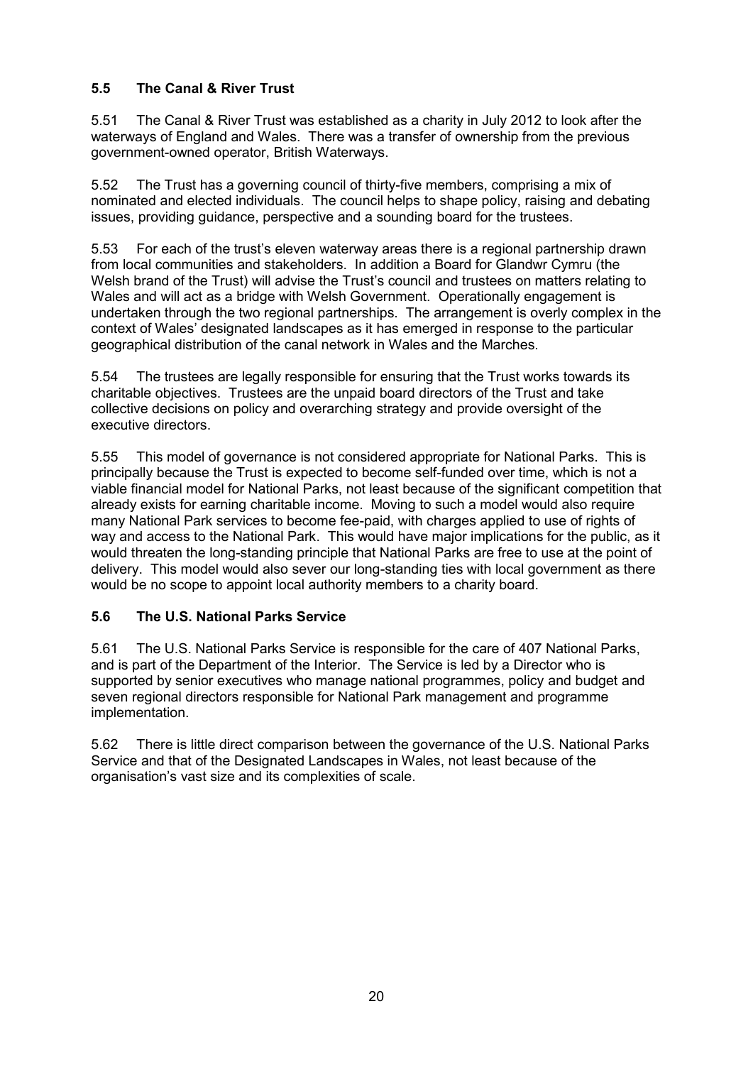# **5.5 The Canal & River Trust**

5.51 The Canal & River Trust was established as a charity in July 2012 to look after the waterways of England and Wales. There was a transfer of ownership from the previous government-owned operator, British Waterways.

5.52 The Trust has a governing council of thirty-five members, comprising a mix of nominated and elected individuals. The council helps to shape policy, raising and debating issues, providing guidance, perspective and a sounding board for the trustees.

5.53 For each of the trust's eleven waterway areas there is a regional partnership drawn from local communities and stakeholders. In addition a Board for Glandwr Cymru (the Welsh brand of the Trust) will advise the Trust's council and trustees on matters relating to Wales and will act as a bridge with Welsh Government. Operationally engagement is undertaken through the two regional partnerships. The arrangement is overly complex in the context of Wales' designated landscapes as it has emerged in response to the particular geographical distribution of the canal network in Wales and the Marches.

5.54 The trustees are legally responsible for ensuring that the Trust works towards its charitable objectives. Trustees are the unpaid board directors of the Trust and take collective decisions on policy and overarching strategy and provide oversight of the executive directors.

5.55 This model of governance is not considered appropriate for National Parks. This is principally because the Trust is expected to become self-funded over time, which is not a viable financial model for National Parks, not least because of the significant competition that already exists for earning charitable income. Moving to such a model would also require many National Park services to become fee-paid, with charges applied to use of rights of way and access to the National Park. This would have major implications for the public, as it would threaten the long-standing principle that National Parks are free to use at the point of delivery. This model would also sever our long-standing ties with local government as there would be no scope to appoint local authority members to a charity board.

#### **5.6 The U.S. National Parks Service**

5.61 The U.S. National Parks Service is responsible for the care of 407 National Parks, and is part of the Department of the Interior. The Service is led by a Director who is supported by senior executives who manage national programmes, policy and budget and seven regional directors responsible for National Park management and programme implementation.

5.62 There is little direct comparison between the governance of the U.S. National Parks Service and that of the Designated Landscapes in Wales, not least because of the organisation's vast size and its complexities of scale.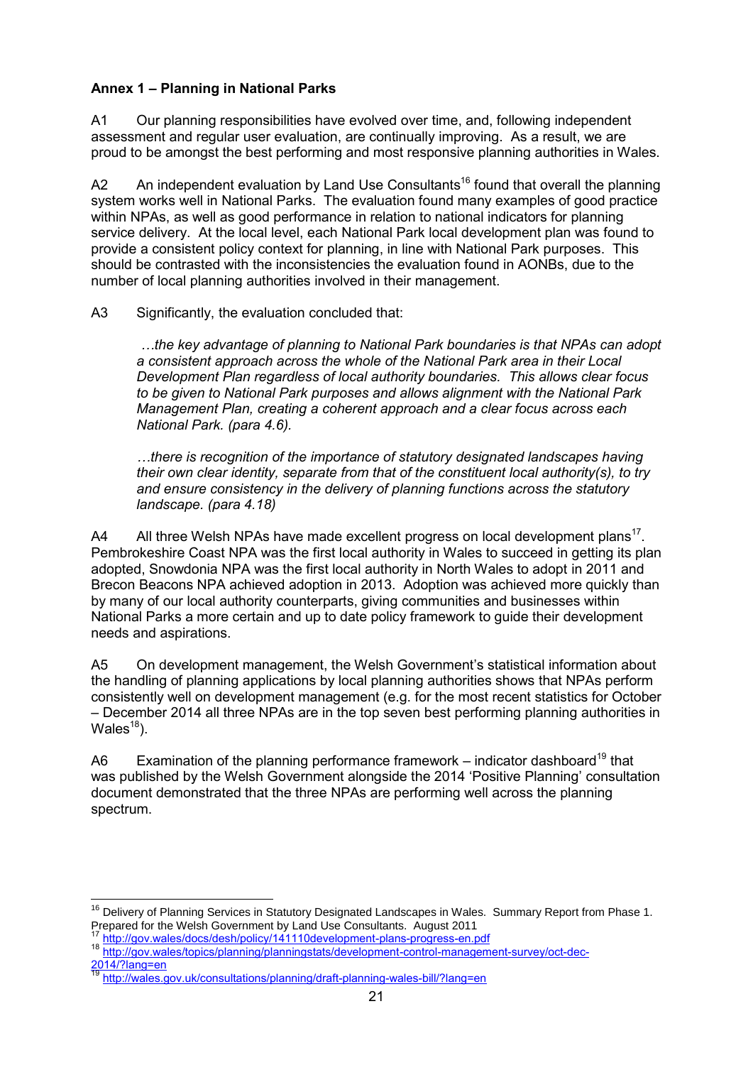## **Annex 1 – Planning in National Parks**

A1 Our planning responsibilities have evolved over time, and, following independent assessment and regular user evaluation, are continually improving. As a result, we are proud to be amongst the best performing and most responsive planning authorities in Wales.

A2 An independent evaluation by Land Use Consultants<sup>16</sup> found that overall the planning system works well in National Parks. The evaluation found many examples of good practice within NPAs, as well as good performance in relation to national indicators for planning service delivery. At the local level, each National Park local development plan was found to provide a consistent policy context for planning, in line with National Park purposes. This should be contrasted with the inconsistencies the evaluation found in AONBs, due to the number of local planning authorities involved in their management.

A3 Significantly, the evaluation concluded that:

 *…the key advantage of planning to National Park boundaries is that NPAs can adopt a consistent approach across the whole of the National Park area in their Local Development Plan regardless of local authority boundaries. This allows clear focus to be given to National Park purposes and allows alignment with the National Park Management Plan, creating a coherent approach and a clear focus across each National Park. (para 4.6).* 

*…there is recognition of the importance of statutory designated landscapes having their own clear identity, separate from that of the constituent local authority(s), to try and ensure consistency in the delivery of planning functions across the statutory landscape. (para 4.18)* 

A4 All three Welsh NPAs have made excellent progress on local development plans<sup>17</sup>. Pembrokeshire Coast NPA was the first local authority in Wales to succeed in getting its plan adopted, Snowdonia NPA was the first local authority in North Wales to adopt in 2011 and Brecon Beacons NPA achieved adoption in 2013. Adoption was achieved more quickly than by many of our local authority counterparts, giving communities and businesses within National Parks a more certain and up to date policy framework to guide their development needs and aspirations.

A5 On development management, the Welsh Government's statistical information about the handling of planning applications by local planning authorities shows that NPAs perform consistently well on development management (e.g. for the most recent statistics for October – December 2014 all three NPAs are in the top seven best performing planning authorities in Wales $^{18}$ ).

A6 Examination of the planning performance framework – indicator dashboard<sup>19</sup> that was published by the Welsh Government alongside the 2014 'Positive Planning' consultation document demonstrated that the three NPAs are performing well across the planning spectrum.

http://gov.wales/docs/desh/policy/141110development-plans-progress-en.pdf

 $\overline{1}$ <sup>16</sup> Delivery of Planning Services in Statutory Designated Landscapes in Wales. Summary Report from Phase 1. Prepared for the Welsh Government by Land Use Consultants. August 2011

<sup>18</sup> [http://gov.wales/topics/planning/planningstats/development-control-management-survey/oct-dec-](http://gov.wales/topics/planning/planningstats/development-control-management-survey/oct-dec-2014/?lang=en)[2014/?lang=en](http://gov.wales/topics/planning/planningstats/development-control-management-survey/oct-dec-2014/?lang=en) 

<sup>19</sup> <http://wales.gov.uk/consultations/planning/draft-planning-wales-bill/?lang=en>